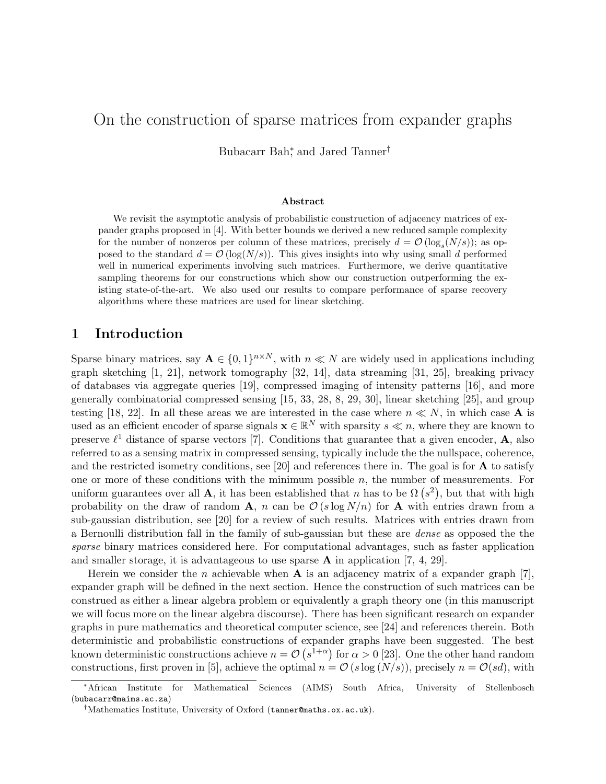# On the construction of sparse matrices from expander graphs

Bubacarr Bah<sup>\*</sup>, and Jared Tanner<sup>†</sup>

#### Abstract

We revisit the asymptotic analysis of probabilistic construction of adjacency matrices of expander graphs proposed in [4]. With better bounds we derived a new reduced sample complexity for the number of nonzeros per column of these matrices, precisely  $d = \mathcal{O}(\log_s(N/s))$ ; as opposed to the standard  $d = \mathcal{O}(\log(N/s))$ . This gives insights into why using small d performed well in numerical experiments involving such matrices. Furthermore, we derive quantitative sampling theorems for our constructions which show our construction outperforming the existing state-of-the-art. We also used our results to compare performance of sparse recovery algorithms where these matrices are used for linear sketching.

# 1 Introduction

Sparse binary matrices, say  $A \in \{0,1\}^{n \times N}$ , with  $n \ll N$  are widely used in applications including graph sketching [1, 21], network tomography [32, 14], data streaming [31, 25], breaking privacy of databases via aggregate queries [19], compressed imaging of intensity patterns [16], and more generally combinatorial compressed sensing [15, 33, 28, 8, 29, 30], linear sketching [25], and group testing [18, 22]. In all these areas we are interested in the case where  $n \ll N$ , in which case **A** is used as an efficient encoder of sparse signals  $\mathbf{x} \in \mathbb{R}^N$  with sparsity  $s \ll n$ , where they are known to preserve  $\ell^1$  distance of sparse vectors [7]. Conditions that guarantee that a given encoder, **A**, also referred to as a sensing matrix in compressed sensing, typically include the the nullspace, coherence, and the restricted isometry conditions, see [20] and references there in. The goal is for  $\bf{A}$  to satisfy one or more of these conditions with the minimum possible  $n$ , the number of measurements. For uniform guarantees over all **A**, it has been established that n has to be  $\Omega(s^2)$ , but that with high probability on the draw of random A, n can be  $\mathcal{O}(s \log N/n)$  for A with entries drawn from a sub-gaussian distribution, see [20] for a review of such results. Matrices with entries drawn from a Bernoulli distribution fall in the family of sub-gaussian but these are dense as opposed the the sparse binary matrices considered here. For computational advantages, such as faster application and smaller storage, it is advantageous to use sparse  $A$  in application [7, 4, 29].

Herein we consider the n achievable when  $A$  is an adjacency matrix of a expander graph [7]. expander graph will be defined in the next section. Hence the construction of such matrices can be construed as either a linear algebra problem or equivalently a graph theory one (in this manuscript we will focus more on the linear algebra discourse). There has been significant research on expander graphs in pure mathematics and theoretical computer science, see [24] and references therein. Both deterministic and probabilistic constructions of expander graphs have been suggested. The best known deterministic constructions achieve  $n = \mathcal{O}(s^{1+\alpha})$  for  $\alpha > 0$  [23]. One the other hand random constructions, first proven in [5], achieve the optimal  $n = \mathcal{O}(s \log(N/s))$ , precisely  $n = \mathcal{O}(sd)$ , with

<sup>∗</sup>African Institute for Mathematical Sciences (AIMS) South Africa, University of Stellenbosch (bubacarr@maims.ac.za)

<sup>†</sup>Mathematics Institute, University of Oxford (tanner@maths.ox.ac.uk).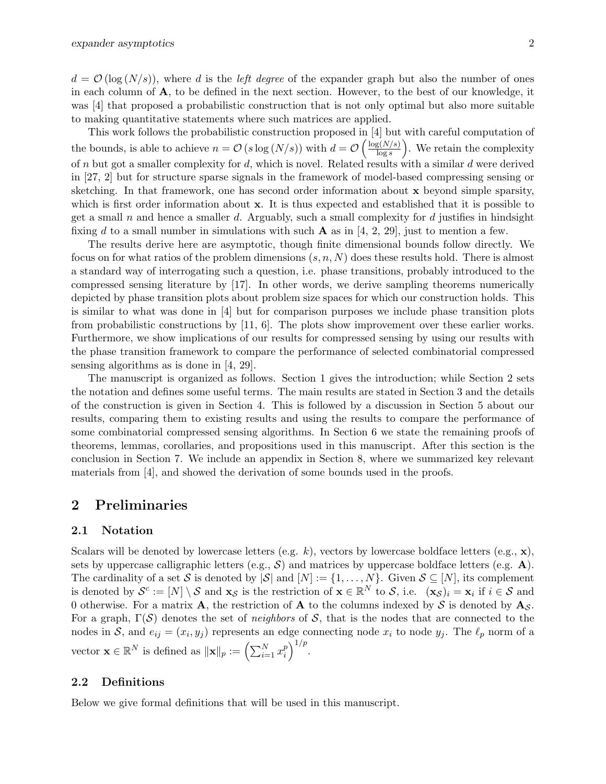$d = \mathcal{O}(\log(N/s))$ , where d is the left degree of the expander graph but also the number of ones in each column of A, to be defined in the next section. However, to the best of our knowledge, it was [4] that proposed a probabilistic construction that is not only optimal but also more suitable to making quantitative statements where such matrices are applied.

This work follows the probabilistic construction proposed in [4] but with careful computation of the bounds, is able to achieve  $n = \mathcal{O}(s \log(N/s))$  with  $d = \mathcal{O}\left(\frac{\log(N/s)}{\log s}\right)$  $\frac{\log(N/s)}{\log s}$ . We retain the complexity of n but got a smaller complexity for d, which is novel. Related results with a similar d were derived in [27, 2] but for structure sparse signals in the framework of model-based compressing sensing or sketching. In that framework, one has second order information about x beyond simple sparsity, which is first order information about x. It is thus expected and established that it is possible to get a small  $n$  and hence a smaller  $d$ . Arguably, such a small complexity for  $d$  justifies in hindsight fixing d to a small number in simulations with such **A** as in [4, 2, 29], just to mention a few.

The results derive here are asymptotic, though finite dimensional bounds follow directly. We focus on for what ratios of the problem dimensions  $(s, n, N)$  does these results hold. There is almost a standard way of interrogating such a question, i.e. phase transitions, probably introduced to the compressed sensing literature by [17]. In other words, we derive sampling theorems numerically depicted by phase transition plots about problem size spaces for which our construction holds. This is similar to what was done in [4] but for comparison purposes we include phase transition plots from probabilistic constructions by [11, 6]. The plots show improvement over these earlier works. Furthermore, we show implications of our results for compressed sensing by using our results with the phase transition framework to compare the performance of selected combinatorial compressed sensing algorithms as is done in [4, 29].

The manuscript is organized as follows. Section 1 gives the introduction; while Section 2 sets the notation and defines some useful terms. The main results are stated in Section 3 and the details of the construction is given in Section 4. This is followed by a discussion in Section 5 about our results, comparing them to existing results and using the results to compare the performance of some combinatorial compressed sensing algorithms. In Section 6 we state the remaining proofs of theorems, lemmas, corollaries, and propositions used in this manuscript. After this section is the conclusion in Section 7. We include an appendix in Section 8, where we summarized key relevant materials from [4], and showed the derivation of some bounds used in the proofs.

## 2 Preliminaries

#### 2.1 Notation

Scalars will be denoted by lowercase letters (e.g. k), vectors by lowercase boldface letters (e.g.,  $\mathbf{x}$ ), sets by uppercase calligraphic letters (e.g.,  $\mathcal{S}$ ) and matrices by uppercase boldface letters (e.g.  $\mathbf{A}$ ). The cardinality of a set S is denoted by  $|S|$  and  $[N] := \{1, \ldots, N\}$ . Given  $S \subseteq [N]$ , its complement is denoted by  $\mathcal{S}^c := [N] \setminus \mathcal{S}$  and  $\mathbf{x}_{\mathcal{S}}$  is the restriction of  $\mathbf{x} \in \mathbb{R}^N$  to  $\mathcal{S}$ , i.e.  $(\mathbf{x}_{\mathcal{S}})_i = \mathbf{x}_i$  if  $i \in \mathcal{S}$  and 0 otherwise. For a matrix **A**, the restriction of **A** to the columns indexed by S is denoted by  $\mathbf{A}_S$ . For a graph,  $\Gamma(\mathcal{S})$  denotes the set of *neighbors* of  $\mathcal{S}$ , that is the nodes that are connected to the nodes in S, and  $e_{ij} = (x_i, y_j)$  represents an edge connecting node  $x_i$  to node  $y_j$ . The  $\ell_p$  norm of a vector  $\mathbf{x} \in \mathbb{R}^N$  is defined as  $\|\mathbf{x}\|_p := \left(\sum_{i=1}^N x_i^p\right)$  $\binom{p}{i}^{1/p}$ .

#### 2.2 Definitions

Below we give formal definitions that will be used in this manuscript.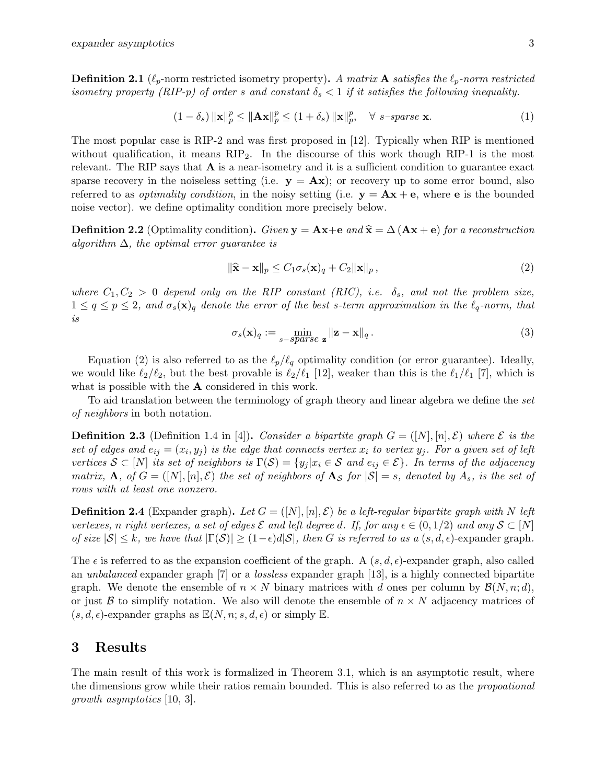**Definition 2.1** ( $\ell_p$ -norm restricted isometry property). A matrix **A** satisfies the  $\ell_p$ -norm restricted isometry property (RIP-p) of order s and constant  $\delta_s < 1$  if it satisfies the following inequality.

$$
(1 - \delta_s) \|\mathbf{x}\|_p^p \le \|\mathbf{A}\mathbf{x}\|_p^p \le (1 + \delta_s) \|\mathbf{x}\|_p^p, \quad \forall \ s\text{-sparse } \mathbf{x}.\tag{1}
$$

The most popular case is RIP-2 and was first proposed in [12]. Typically when RIP is mentioned without qualification, it means  $RIP<sub>2</sub>$ . In the discourse of this work though RIP-1 is the most relevant. The RIP says that  $\bf{A}$  is a near-isometry and it is a sufficient condition to guarantee exact sparse recovery in the noiseless setting (i.e.  $y = Ax$ ); or recovery up to some error bound, also referred to as *optimality condition*, in the noisy setting (i.e.  $y = Ax + e$ , where e is the bounded noise vector). we define optimality condition more precisely below.

**Definition 2.2** (Optimality condition). Given  $\mathbf{v} = \mathbf{A}\mathbf{x}+\mathbf{e}$  and  $\hat{\mathbf{x}} = \Delta(\mathbf{A}\mathbf{x}+\mathbf{e})$  for a reconstruction algorithm  $\Delta$ , the optimal error quarantee is

$$
\|\widehat{\mathbf{x}} - \mathbf{x}\|_p \le C_1 \sigma_s(\mathbf{x})_q + C_2 \|\mathbf{x}\|_p,
$$
\n(2)

where  $C_1, C_2 > 0$  depend only on the RIP constant (RIC), i.e.  $\delta_s$ , and not the problem size,  $1 \le q \le p \le 2$ , and  $\sigma_s(\mathbf{x})_q$  denote the error of the best s-term approximation in the  $\ell_q$ -norm, that is

$$
\sigma_s(\mathbf{x})_q := \min_{s-\text{sparse } \mathbf{z}} \|\mathbf{z} - \mathbf{x}\|_q. \tag{3}
$$

Equation (2) is also referred to as the  $\ell_p/\ell_q$  optimality condition (or error guarantee). Ideally, we would like  $\ell_2/\ell_2$ , but the best provable is  $\ell_2/\ell_1$  [12], weaker than this is the  $\ell_1/\ell_1$  [7], which is what is possible with the **A** considered in this work.

To aid translation between the terminology of graph theory and linear algebra we define the set of neighbors in both notation.

**Definition 2.3** (Definition 1.4 in [4]). Consider a bipartite graph  $G = (N, n], \mathcal{E})$  where  $\mathcal{E}$  is the set of edges and  $e_{ij} = (x_i, y_j)$  is the edge that connects vertex  $x_i$  to vertex  $y_j$ . For a given set of left vertices  $S \subset [N]$  its set of neighbors is  $\Gamma(S) = \{y_j | x_i \in S \text{ and } e_{ij} \in \mathcal{E}\}\$ . In terms of the adjacency matrix, A, of  $G = ([N], [n], \mathcal{E})$  the set of neighbors of As for  $|\mathcal{S}| = s$ , denoted by  $A_s$ , is the set of rows with at least one nonzero.

**Definition 2.4** (Expander graph). Let  $G = ([N], [n], \mathcal{E})$  be a left-regular bipartite graph with N left vertexes, n right vertexes, a set of edges  $\mathcal E$  and left degree d. If, for any  $\epsilon \in (0,1/2)$  and any  $\mathcal S \subset [N]$ of size  $|S| \leq k$ , we have that  $|\Gamma(S)| \geq (1-\epsilon)d|S|$ , then G is referred to as a  $(s, d, \epsilon)$ -expander graph.

The  $\epsilon$  is referred to as the expansion coefficient of the graph. A  $(s, d, \epsilon)$ -expander graph, also called an *unbalanced* expander graph [7] or a *lossless* expander graph [13], is a highly connected bipartite graph. We denote the ensemble of  $n \times N$  binary matrices with d ones per column by  $\mathcal{B}(N, n; d)$ , or just  $\beta$  to simplify notation. We also will denote the ensemble of  $n \times N$  adjacency matrices of  $(s, d, \epsilon)$ -expander graphs as  $\mathbb{E}(N, n; s, d, \epsilon)$  or simply  $\mathbb{E}$ .

## 3 Results

The main result of this work is formalized in Theorem 3.1, which is an asymptotic result, where the dimensions grow while their ratios remain bounded. This is also referred to as the *propoational* growth asymptotics [10, 3].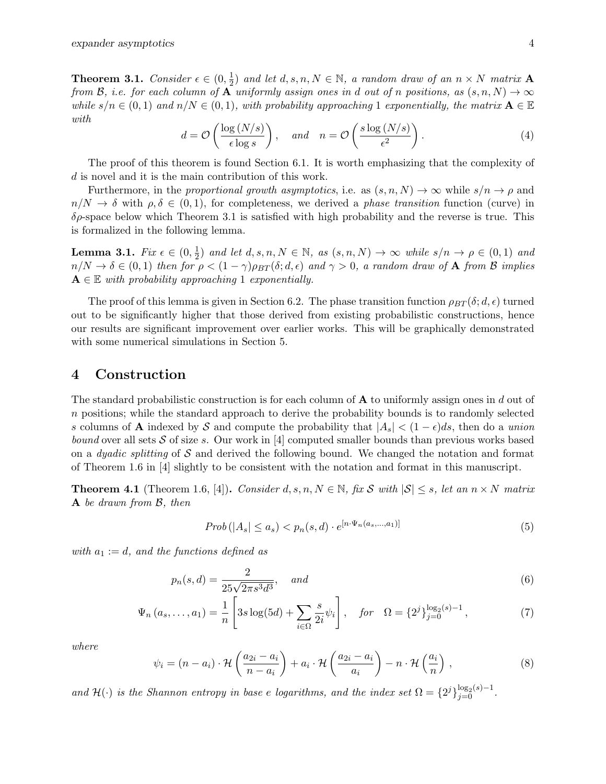**Theorem 3.1.** Consider  $\epsilon \in (0, \frac{1}{2})$  $\frac{1}{2}$ ) and let  $d, s, n, N \in \mathbb{N}$ , a random draw of an  $n \times N$  matrix **A** from B, i.e. for each column of A uniformly assign ones in d out of n positions, as  $(s, n, N) \to \infty$ while  $s/n \in (0,1)$  and  $n/N \in (0,1)$ , with probability approaching 1 exponentially, the matrix  $\mathbf{A} \in \mathbb{E}$ with

$$
d = \mathcal{O}\left(\frac{\log\left(N/s\right)}{\epsilon \log s}\right), \quad \text{and} \quad n = \mathcal{O}\left(\frac{s \log\left(N/s\right)}{\epsilon^2}\right). \tag{4}
$$

The proof of this theorem is found Section 6.1. It is worth emphasizing that the complexity of d is novel and it is the main contribution of this work.

Furthermore, in the proportional growth asymptotics, i.e. as  $(s, n, N) \to \infty$  while  $s/n \to \rho$  and  $n/N \to \delta$  with  $\rho, \delta \in (0,1)$ , for completeness, we derived a phase transition function (curve) in  $\delta \rho$ -space below which Theorem 3.1 is satisfied with high probability and the reverse is true. This is formalized in the following lemma.

Lemma 3.1.  $Fix\ \epsilon\in(0,\frac{1}{2})$  $\frac{1}{2}$ ) and let  $d, s, n, N \in \mathbb{N}$ , as  $(s, n, N) \to \infty$  while  $s/n \to \rho \in (0, 1)$  and  $n/N \to \delta \in (0,1)$  then for  $\rho < (1-\gamma)\rho_{BT}(\delta; d, \epsilon)$  and  $\gamma > 0$ , a random draw of **A** from B implies  $A \in \mathbb{E}$  with probability approaching 1 exponentially.

The proof of this lemma is given in Section 6.2. The phase transition function  $\rho_{BT}(\delta; d, \epsilon)$  turned out to be significantly higher that those derived from existing probabilistic constructions, hence our results are significant improvement over earlier works. This will be graphically demonstrated with some numerical simulations in Section 5.

## 4 Construction

The standard probabilistic construction is for each column of  $A$  to uniformly assign ones in d out of n positions; while the standard approach to derive the probability bounds is to randomly selected s columns of **A** indexed by S and compute the probability that  $|A_s| < (1 - \epsilon)ds$ , then do a *union bound* over all sets S of size s. Our work in [4] computed smaller bounds than previous works based on a *dyadic splitting* of S and derived the following bound. We changed the notation and format of Theorem 1.6 in [4] slightly to be consistent with the notation and format in this manuscript.

**Theorem 4.1** (Theorem 1.6, [4]). Consider d, s, n,  $N \in \mathbb{N}$ , fix S with  $|S| \leq s$ , let an  $n \times N$  matrix A be drawn from B, then

$$
Prob(|A_s| \le a_s) < p_n(s, d) \cdot e^{[n \cdot \Psi_n(a_s, \dots, a_1)]} \tag{5}
$$

with  $a_1 := d$ , and the functions defined as

$$
p_n(s, d) = \frac{2}{25\sqrt{2\pi s^3 d^3}}, \quad and \tag{6}
$$

$$
\Psi_n(a_s, ..., a_1) = \frac{1}{n} \left[ 3s \log(5d) + \sum_{i \in \Omega} \frac{s}{2i} \psi_i \right], \quad \text{for} \quad \Omega = \{2^j\}_{j=0}^{\log_2(s)-1}, \tag{7}
$$

where

$$
\psi_i = (n - a_i) \cdot \mathcal{H}\left(\frac{a_{2i} - a_i}{n - a_i}\right) + a_i \cdot \mathcal{H}\left(\frac{a_{2i} - a_i}{a_i}\right) - n \cdot \mathcal{H}\left(\frac{a_i}{n}\right) ,\qquad (8)
$$

and  $\mathcal{H}(\cdot)$  is the Shannon entropy in base e logarithms, and the index set  $\Omega = \{2^j\}_{j=0}^{\log_2(s)-1}$ .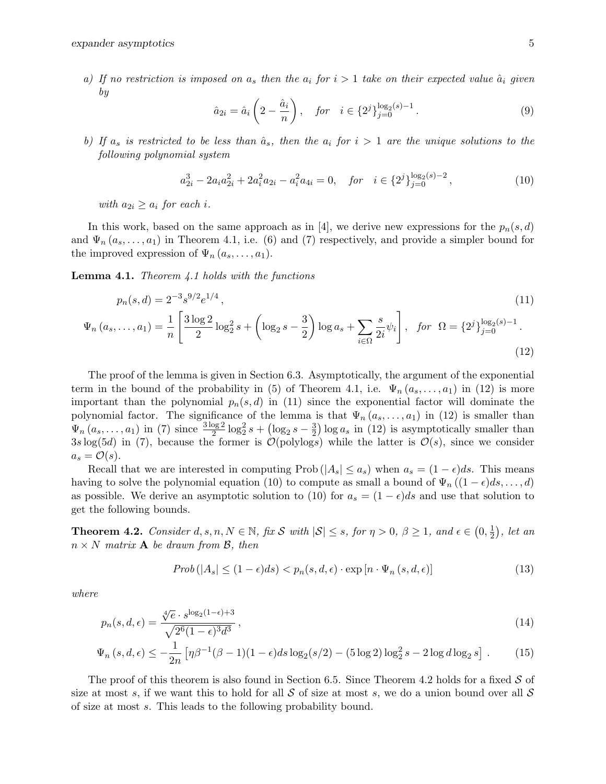a) If no restriction is imposed on  $a_s$  then the  $a_i$  for  $i > 1$  take on their expected value  $\hat{a}_i$  given by

$$
\hat{a}_{2i} = \hat{a}_i \left( 2 - \frac{\hat{a}_i}{n} \right), \quad \text{for} \quad i \in \{2^j\}_{j=0}^{\log_2(s)-1} . \tag{9}
$$

b) If  $a_s$  is restricted to be less than  $\hat{a}_s$ , then the  $a_i$  for  $i > 1$  are the unique solutions to the following polynomial system

$$
a_{2i}^3 - 2a_i a_{2i}^2 + 2a_i^2 a_{2i} - a_i^2 a_{4i} = 0, \quad \text{for} \quad i \in \{2^j\}_{j=0}^{\log_2(s)-2},\tag{10}
$$

with  $a_{2i} \geq a_i$  for each i.

In this work, based on the same approach as in [4], we derive new expressions for the  $p_n(s,d)$ and  $\Psi_n(a_s, \ldots, a_1)$  in Theorem 4.1, i.e. (6) and (7) respectively, and provide a simpler bound for the improved expression of  $\Psi_n(a_s, \ldots, a_1)$ .

**Lemma 4.1.** Theorem  $4.1$  holds with the functions

$$
p_n(s,d) = 2^{-3}s^{9/2}e^{1/4},
$$
\n
$$
\Psi_n(a_s, \dots, a_1) = \frac{1}{n} \left[ \frac{3\log 2}{2} \log_2^2 s + \left( \log_2 s - \frac{3}{2} \right) \log a_s + \sum_{i \in \Omega} \frac{s}{2i} \psi_i \right], \quad \text{for } \Omega = \{2^j\}_{j=0}^{\log_2(s)-1}.
$$
\n(12)

The proof of the lemma is given in Section 6.3. Asymptotically, the argument of the exponential term in the bound of the probability in (5) of Theorem 4.1, i.e.  $\Psi_n(a_s, \ldots, a_1)$  in (12) is more important than the polynomial  $p_n(s, d)$  in (11) since the exponential factor will dominate the polynomial factor. The significance of the lemma is that  $\Psi_n(a_3,\ldots,a_1)$  in (12) is smaller than  $\Psi_n(a_s, \ldots, a_1)$  in (7) since  $\frac{3 \log 2}{2} \log_2^2 s + (\log_2 s - \frac{3}{2})$  $\frac{3}{2}$ ) log  $a_s$  in (12) is asymptotically smaller than  $3s \log(5d)$  in (7), because the former is  $\mathcal{O}(\text{polylog}s)$  while the latter is  $\mathcal{O}(s)$ , since we consider  $a_s = \mathcal{O}(s)$ .

Recall that we are interested in computing Prob ( $|A_s| \le a_s$ ) when  $a_s = (1 - \epsilon)ds$ . This means having to solve the polynomial equation (10) to compute as small a bound of  $\Psi_n((1-\epsilon)ds, \ldots, d)$ as possible. We derive an asymptotic solution to (10) for  $a_s = (1 - \epsilon)ds$  and use that solution to get the following bounds.

**Theorem 4.2.** Consider  $d, s, n, N \in \mathbb{N}$ , fix S with  $|\mathcal{S}| \leq s$ , for  $\eta > 0$ ,  $\beta \geq 1$ , and  $\epsilon \in (0, \frac{1}{2})$  $(\frac{1}{2})$ , let an  $n \times N$  matrix **A** be drawn from B, then

$$
Prob(|A_s| \le (1 - \epsilon)ds) < p_n(s, d, \epsilon) \cdot \exp\left[n \cdot \Psi_n\left(s, d, \epsilon\right)\right] \tag{13}
$$

where

$$
p_n(s, d, \epsilon) = \frac{\sqrt[4]{e} \cdot s^{\log_2(1-\epsilon)+3}}{\sqrt{2^6(1-\epsilon)^3 d^3}},
$$
\n(14)

$$
\Psi_n(s, d, \epsilon) \le -\frac{1}{2n} \left[ \eta \beta^{-1} (\beta - 1)(1 - \epsilon) ds \log_2(s/2) - (5 \log 2) \log_2^2 s - 2 \log d \log_2 s \right]. \tag{15}
$$

The proof of this theorem is also found in Section 6.5. Since Theorem 4.2 holds for a fixed  $S$  of size at most s, if we want this to hold for all S of size at most s, we do a union bound over all S of size at most s. This leads to the following probability bound.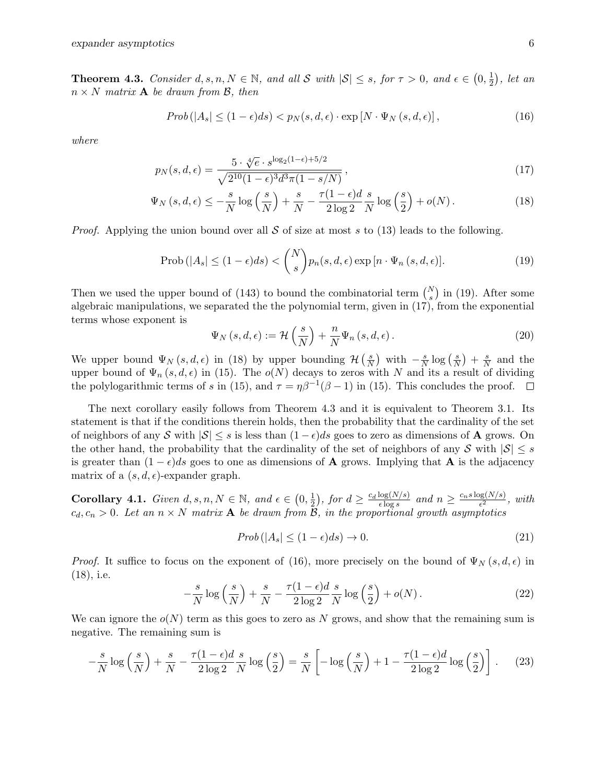**Theorem 4.3.** Consider  $d, s, n, N \in \mathbb{N}$ , and all S with  $|S| \leq s$ , for  $\tau > 0$ , and  $\epsilon \in (0, \frac{1}{2})$  $(\frac{1}{2})$ , let an  $n \times N$  matrix **A** be drawn from B, then

$$
Prob(|A_s| \le (1 - \epsilon)ds) < p_N(s, d, \epsilon) \cdot \exp[N \cdot \Psi_N(s, d, \epsilon)],
$$
\n(16)

where

$$
p_N(s, d, \epsilon) = \frac{5 \cdot \sqrt[4]{e} \cdot s^{\log_2(1-\epsilon) + 5/2}}{\sqrt{2^{10}(1-\epsilon)^3 d^3 \pi (1-s/N)}},
$$
\n(17)

$$
\Psi_N\left(s,d,\epsilon\right) \le -\frac{s}{N}\log\left(\frac{s}{N}\right) + \frac{s}{N} - \frac{\tau(1-\epsilon)d}{2\log 2}\frac{s}{N}\log\left(\frac{s}{2}\right) + o(N). \tag{18}
$$

*Proof.* Applying the union bound over all S of size at most s to (13) leads to the following.

$$
\text{Prob}\left(|A_s| \le (1 - \epsilon)ds\right) < \binom{N}{s} p_n(s, d, \epsilon) \exp\left[n \cdot \Psi_n\left(s, d, \epsilon\right)\right].\tag{19}
$$

Then we used the upper bound of (143) to bound the combinatorial term  $\binom{N}{s}$  in (19). After some algebraic manipulations, we separated the the polynomial term, given in (17), from the exponential terms whose exponent is

$$
\Psi_N(s, d, \epsilon) := \mathcal{H}\left(\frac{s}{N}\right) + \frac{n}{N} \Psi_n(s, d, \epsilon).
$$
\n(20)

We upper bound  $\Psi_N(s, d, \epsilon)$  in (18) by upper bounding  $\mathcal{H}(\frac{s}{N})$  $\frac{s}{N}$ ) with  $-\frac{s}{N}$  $\frac{s}{N}\log\left(\frac{s}{\Lambda}\right)$  $\frac{s}{N}$  +  $\frac{s}{N}$  $\frac{s}{N}$  and the upper bound of  $\Psi_n(s, d, \epsilon)$  in (15). The  $o(N)$  decays to zeros with N and its a result of dividing the polylogarithmic terms of s in (15), and  $\tau = \eta \beta^{-1} (\beta - 1)$  in (15). This concludes the proof.

The next corollary easily follows from Theorem 4.3 and it is equivalent to Theorem 3.1. Its statement is that if the conditions therein holds, then the probability that the cardinality of the set of neighbors of any S with  $|\mathcal{S}| \leq s$  is less than  $(1 - \epsilon)ds$  goes to zero as dimensions of A grows. On the other hand, the probability that the cardinality of the set of neighbors of any S with  $|S| \leq s$ is greater than  $(1 - \epsilon)ds$  goes to one as dimensions of **A** grows. Implying that **A** is the adjacency matrix of a  $(s, d, \epsilon)$ -expander graph.

**Corollary 4.1.** Given  $d, s, n, N \in \mathbb{N}$ , and  $\epsilon \in (0, \frac{1}{2})$  $(\frac{1}{2})$ , for  $d \geq \frac{c_d \log(N/s)}{\epsilon \log s}$  $\frac{\log(N/s)}{\epsilon \log s}$  and  $n \geq \frac{c_n s \log(N/s)}{\epsilon^2}$  $\frac{\log(N/S)}{\epsilon^2}$ , with  $c_d, c_n > 0$ . Let an  $n \times N$  matrix **A** be drawn from B, in the proportional growth asymptotics

$$
Prob(|A_s| \le (1 - \epsilon)ds) \to 0. \tag{21}
$$

*Proof.* It suffice to focus on the exponent of (16), more precisely on the bound of  $\Psi_N(s, d, \epsilon)$  in (18), i.e.

$$
-\frac{s}{N}\log\left(\frac{s}{N}\right) + \frac{s}{N} - \frac{\tau(1-\epsilon)d}{2\log 2}\frac{s}{N}\log\left(\frac{s}{2}\right) + o(N). \tag{22}
$$

We can ignore the  $o(N)$  term as this goes to zero as N grows, and show that the remaining sum is negative. The remaining sum is

$$
-\frac{s}{N}\log\left(\frac{s}{N}\right) + \frac{s}{N} - \frac{\tau(1-\epsilon)d}{2\log 2}\frac{s}{N}\log\left(\frac{s}{2}\right) = \frac{s}{N}\left[-\log\left(\frac{s}{N}\right) + 1 - \frac{\tau(1-\epsilon)d}{2\log 2}\log\left(\frac{s}{2}\right)\right].\tag{23}
$$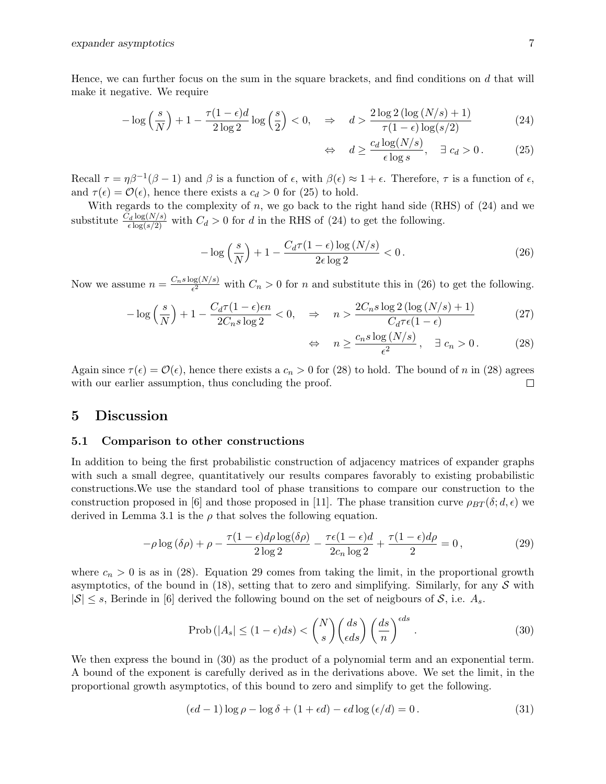Hence, we can further focus on the sum in the square brackets, and find conditions on  $d$  that will make it negative. We require

$$
-\log\left(\frac{s}{N}\right) + 1 - \frac{\tau(1-\epsilon)d}{2\log 2}\log\left(\frac{s}{2}\right) < 0, \quad \Rightarrow \quad d > \frac{2\log 2\left(\log\left(N/s\right) + 1\right)}{\tau(1-\epsilon)\log\left(s/2\right)}\tag{24}
$$

$$
\Leftrightarrow d \ge \frac{c_d \log(N/s)}{\epsilon \log s}, \quad \exists \ c_d > 0. \tag{25}
$$

Recall  $\tau = \eta \beta^{-1} (\beta - 1)$  and  $\beta$  is a function of  $\epsilon$ , with  $\beta(\epsilon) \approx 1 + \epsilon$ . Therefore,  $\tau$  is a function of  $\epsilon$ , and  $\tau(\epsilon) = \mathcal{O}(\epsilon)$ , hence there exists a  $c_d > 0$  for (25) to hold.

With regards to the complexity of  $n$ , we go back to the right hand side (RHS) of  $(24)$  and we substitute  $\frac{C_d \log(N/s)}{\epsilon \log(s/2)}$  with  $C_d > 0$  for d in the RHS of (24) to get the following.

$$
-\log\left(\frac{s}{N}\right) + 1 - \frac{C_d \tau (1 - \epsilon) \log\left(N/s\right)}{2\epsilon \log 2} < 0. \tag{26}
$$

Now we assume  $n = \frac{C_n s \log(N/s)}{\epsilon^2}$  $\frac{\log(N/s)}{\epsilon^2}$  with  $C_n > 0$  for *n* and substitute this in (26) to get the following.

$$
-\log\left(\frac{s}{N}\right) + 1 - \frac{C_d \tau (1 - \epsilon)\epsilon n}{2C_n s \log 2} < 0, \quad \Rightarrow \quad n > \frac{2C_n s \log 2\left(\log\left(N/s\right) + 1\right)}{C_d \tau \epsilon (1 - \epsilon)}\tag{27}
$$

$$
\Leftrightarrow n \ge \frac{c_n s \log (N/s)}{\epsilon^2}, \quad \exists \ c_n > 0. \tag{28}
$$

Again since  $\tau(\epsilon) = \mathcal{O}(\epsilon)$ , hence there exists a  $c_n > 0$  for (28) to hold. The bound of n in (28) agrees with our earlier assumption, thus concluding the proof.  $\Box$ 

## 5 Discussion

#### 5.1 Comparison to other constructions

In addition to being the first probabilistic construction of adjacency matrices of expander graphs with such a small degree, quantitatively our results compares favorably to existing probabilistic constructions.We use the standard tool of phase transitions to compare our construction to the construction proposed in [6] and those proposed in [11]. The phase transition curve  $\rho_{BT}(\delta; d, \epsilon)$  we derived in Lemma 3.1 is the  $\rho$  that solves the following equation.

$$
-\rho \log \left(\delta \rho\right) + \rho - \frac{\tau (1 - \epsilon) d \rho \log(\delta \rho)}{2 \log 2} - \frac{\tau \epsilon (1 - \epsilon) d}{2 c_n \log 2} + \frac{\tau (1 - \epsilon) d \rho}{2} = 0,
$$
\n(29)

where  $c_n > 0$  is as in (28). Equation 29 comes from taking the limit, in the proportional growth asymptotics, of the bound in (18), setting that to zero and simplifying. Similarly, for any  $S$  with  $|S| \leq s$ , Berinde in [6] derived the following bound on the set of neigbours of S, i.e.  $A_s$ .

$$
\text{Prob}\left(|A_s| \le (1 - \epsilon)ds\right) < \binom{N}{s} \binom{ds}{\epsilon ds} \left(\frac{ds}{n}\right)^{\epsilon ds} \,. \tag{30}
$$

We then express the bound in  $(30)$  as the product of a polynomial term and an exponential term. A bound of the exponent is carefully derived as in the derivations above. We set the limit, in the proportional growth asymptotics, of this bound to zero and simplify to get the following.

$$
(\epsilon d - 1) \log \rho - \log \delta + (1 + \epsilon d) - \epsilon d \log (\epsilon/d) = 0.
$$
 (31)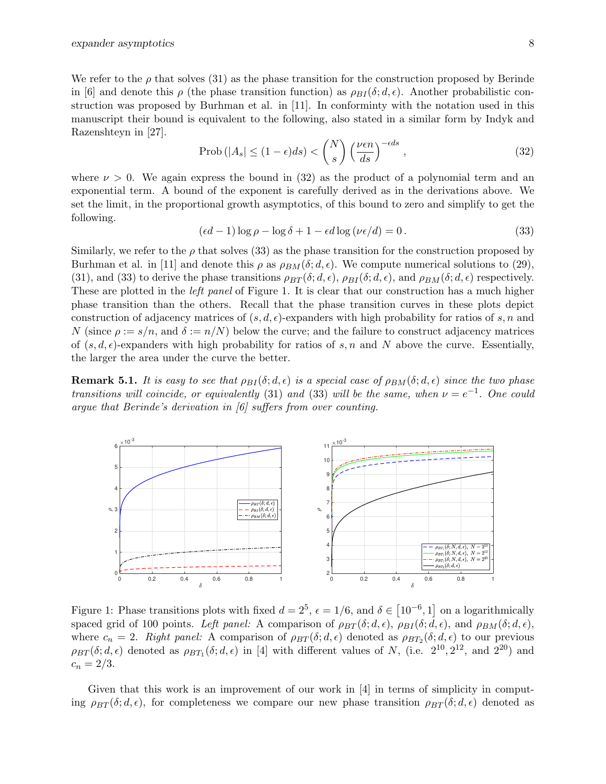We refer to the  $\rho$  that solves (31) as the phase transition for the construction proposed by Berinde in [6] and denote this  $\rho$  (the phase transition function) as  $\rho_{BI}(\delta; d, \epsilon)$ . Another probabilistic construction was proposed by Burhman et al. in [11]. In conforminty with the notation used in this manuscript their bound is equivalent to the following, also stated in a similar form by Indyk and Razenshteyn in [27].

$$
\text{Prob}\left(|A_s| \le (1 - \epsilon)ds\right) < \binom{N}{s} \left(\frac{\nu \epsilon n}{ds}\right)^{-\epsilon ds},\tag{32}
$$

where  $\nu > 0$ . We again express the bound in (32) as the product of a polynomial term and an exponential term. A bound of the exponent is carefully derived as in the derivations above. We set the limit, in the proportional growth asymptotics, of this bound to zero and simplify to get the following.

$$
(\epsilon d - 1) \log \rho - \log \delta + 1 - \epsilon d \log (\nu \epsilon / d) = 0.
$$
 (33)

Similarly, we refer to the  $\rho$  that solves (33) as the phase transition for the construction proposed by Burhman et al. in [11] and denote this  $\rho$  as  $\rho_{BM}(\delta; d, \epsilon)$ . We compute numerical solutions to (29), (31), and (33) to derive the phase transitions  $\rho_{BT}(\delta; d, \epsilon)$ ,  $\rho_{BI}(\delta; d, \epsilon)$ , and  $\rho_{BM}(\delta; d, \epsilon)$  respectively. These are plotted in the *left panel* of Figure 1. It is clear that our construction has a much higher phase transition than the others. Recall that the phase transition curves in these plots depict construction of adjacency matrices of  $(s, d, \epsilon)$ -expanders with high probability for ratios of s, n and N (since  $\rho := s/n$ , and  $\delta := n/N$ ) below the curve; and the failure to construct adjacency matrices of  $(s, d, \epsilon)$ -expanders with high probability for ratios of s, n and N above the curve. Essentially, the larger the area under the curve the better.

**Remark 5.1.** It is easy to see that  $\rho_{BI}(\delta; d, \epsilon)$  is a special case of  $\rho_{BM}(\delta; d, \epsilon)$  since the two phase transitions will coincide, or equivalently (31) and (33) will be the same, when  $\nu = e^{-1}$ . One could argue that Berinde's derivation in [6] suffers from over counting.



Figure 1: Phase transitions plots with fixed  $d = 2^5$ ,  $\epsilon = 1/6$ , and  $\delta \in [10^{-6}, 1]$  on a logarithmically spaced grid of 100 points. Left panel: A comparison of  $\rho_{BT}(\delta; d, \epsilon)$ ,  $\rho_{BI}(\delta; d, \epsilon)$ , and  $\rho_{BM}(\delta; d, \epsilon)$ , where  $c_n = 2$ . Right panel: A comparison of  $\rho_{BT}(\delta; d, \epsilon)$  denoted as  $\rho_{BT_2}(\delta; d, \epsilon)$  to our previous  $\rho_{BT}(\delta; d, \epsilon)$  denoted as  $\rho_{BT_1}(\delta; d, \epsilon)$  in [4] with different values of N, (i.e.  $2^{10}, 2^{12}$ , and  $2^{20}$ ) and  $c_n = 2/3.$ 

Given that this work is an improvement of our work in  $[4]$  in terms of simplicity in computing  $\rho_{BT}(\delta; d, \epsilon)$ , for completeness we compare our new phase transition  $\rho_{BT}(\delta; d, \epsilon)$  denoted as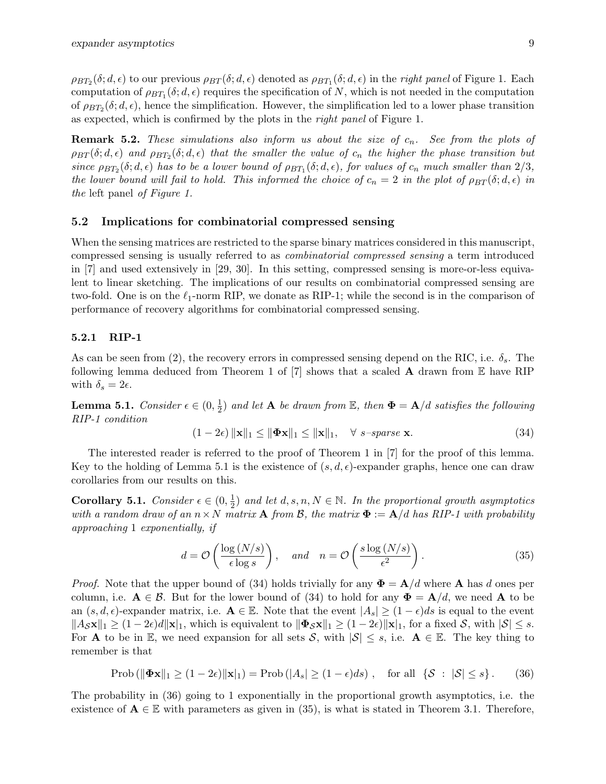$\rho_{BT_2}(\delta;d,\epsilon)$  to our previous  $\rho_{BT}(\delta;d,\epsilon)$  denoted as  $\rho_{BT_1}(\delta;d,\epsilon)$  in the *right panel* of Figure 1. Each computation of  $\rho_{BT_1}(\delta; d, \epsilon)$  requires the specification of N, which is not needed in the computation of  $\rho_{BT_2}(\delta; d, \epsilon)$ , hence the simplification. However, the simplification led to a lower phase transition as expected, which is confirmed by the plots in the right panel of Figure 1.

**Remark 5.2.** These simulations also inform us about the size of  $c_n$ . See from the plots of  $\rho_{BT}(\delta;d,\epsilon)$  and  $\rho_{BT_2}(\delta;d,\epsilon)$  that the smaller the value of  $c_n$  the higher the phase transition but since  $\rho_{BT_2}(\delta; d, \epsilon)$  has to be a lower bound of  $\rho_{BT_1}(\delta; d, \epsilon)$ , for values of  $c_n$  much smaller than  $2/3$ , the lower bound will fail to hold. This informed the choice of  $c_n = 2$  in the plot of  $\rho_{BT}(\delta; d, \epsilon)$  in the left panel of Figure 1.

#### 5.2 Implications for combinatorial compressed sensing

When the sensing matrices are restricted to the sparse binary matrices considered in this manuscript, compressed sensing is usually referred to as combinatorial compressed sensing a term introduced in [7] and used extensively in [29, 30]. In this setting, compressed sensing is more-or-less equivalent to linear sketching. The implications of our results on combinatorial compressed sensing are two-fold. One is on the  $\ell_1$ -norm RIP, we donate as RIP-1; while the second is in the comparison of performance of recovery algorithms for combinatorial compressed sensing.

### 5.2.1 RIP-1

As can be seen from (2), the recovery errors in compressed sensing depend on the RIC, i.e.  $\delta_s$ . The following lemma deduced from Theorem 1 of  $[7]$  shows that a scaled **A** drawn from  $\mathbb E$  have RIP with  $\delta_s = 2\epsilon$ .

**Lemma 5.1.** Consider  $\epsilon \in (0, \frac{1}{2})$  $\frac{1}{2}$ ) and let **A** be drawn from  $\mathbb{E}$ , then  $\mathbf{\Phi} = \mathbf{A}/d$  satisfies the following RIP-1 condition

$$
(1 - 2\epsilon) \|\mathbf{x}\|_1 \le \|\mathbf{\Phi}\mathbf{x}\|_1 \le \|\mathbf{x}\|_1, \quad \forall \ s\text{-sparse } \mathbf{x}.\tag{34}
$$

The interested reader is referred to the proof of Theorem 1 in [7] for the proof of this lemma. Key to the holding of Lemma 5.1 is the existence of  $(s, d, \epsilon)$ -expander graphs, hence one can draw corollaries from our results on this.

Corollary 5.1. Consider  $\epsilon \in (0, \frac{1}{2})$  $\frac{1}{2}$  and let  $d, s, n, N \in \mathbb{N}$ . In the proportional growth asymptotics with a random draw of an  $n \times N$  matrix **A** from B, the matrix  $\Phi := \mathbf{A}/d$  has RIP-1 with probability approaching 1 exponentially, if

$$
d = \mathcal{O}\left(\frac{\log\left(N/s\right)}{\epsilon \log s}\right), \quad \text{and} \quad n = \mathcal{O}\left(\frac{s \log\left(N/s\right)}{\epsilon^2}\right). \tag{35}
$$

*Proof.* Note that the upper bound of (34) holds trivially for any  $\mathbf{\Phi} = \mathbf{A}/d$  where **A** has d ones per column, i.e.  $A \in \mathcal{B}$ . But for the lower bound of (34) to hold for any  $\Phi = A/d$ , we need A to be an  $(s, d, \epsilon)$ -expander matrix, i.e.  $\mathbf{A} \in \mathbb{E}$ . Note that the event  $|A_s| \geq (1 - \epsilon)ds$  is equal to the event  $\|A_{\mathcal{S}}\mathbf{x}\|_1 \geq (1-2\epsilon)d\|\mathbf{x}\|_1$ , which is equivalent to  $\|\mathbf{\Phi}_{\mathcal{S}}\mathbf{x}\|_1 \geq (1-2\epsilon)\|\mathbf{x}\|_1$ , for a fixed  $\mathcal{S}$ , with  $|\mathcal{S}| \leq s$ . For **A** to be in E, we need expansion for all sets S, with  $|S| \leq s$ , i.e.  $A \in \mathbb{E}$ . The key thing to remember is that

$$
\text{Prob}\left(\|\boldsymbol{\Phi}\mathbf{x}\|_1 \ge (1-2\epsilon)\|\mathbf{x}\|_1\right) = \text{Prob}\left(|A_s| \ge (1-\epsilon)ds\right), \quad \text{for all } \{\mathcal{S} \; : \; |\mathcal{S}| \le s\}. \tag{36}
$$

The probability in (36) going to 1 exponentially in the proportional growth asymptotics, i.e. the existence of  $A \in \mathbb{E}$  with parameters as given in (35), is what is stated in Theorem 3.1. Therefore,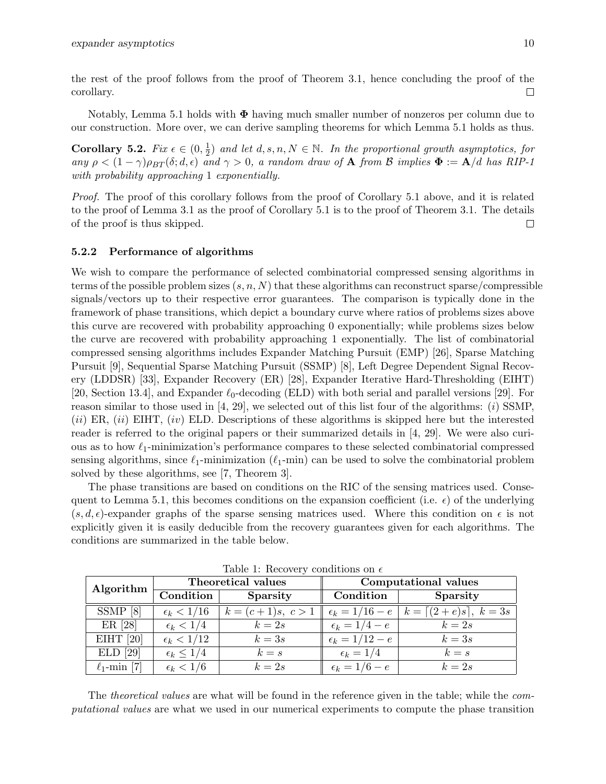the rest of the proof follows from the proof of Theorem 3.1, hence concluding the proof of the corollary.  $\Box$ 

Notably, Lemma 5.1 holds with  $\Phi$  having much smaller number of nonzeros per column due to our construction. More over, we can derive sampling theorems for which Lemma 5.1 holds as thus.

Corollary 5.2.  $Fix \epsilon \in (0, \frac{1}{2})$  $\frac{1}{2}$  and let  $d, s, n, N \in \mathbb{N}$ . In the proportional growth asymptotics, for any  $\rho < (1 - \gamma)\rho_{BT}(\delta; d, \epsilon)$  and  $\gamma > 0$ , a random draw of **A** from B implies  $\Phi := \mathbf{A}/d$  has RIP-1 with probability approaching 1 exponentially.

Proof. The proof of this corollary follows from the proof of Corollary 5.1 above, and it is related to the proof of Lemma 3.1 as the proof of Corollary 5.1 is to the proof of Theorem 3.1. The details of the proof is thus skipped.  $\Box$ 

#### 5.2.2 Performance of algorithms

We wish to compare the performance of selected combinatorial compressed sensing algorithms in terms of the possible problem sizes  $(s, n, N)$  that these algorithms can reconstruct sparse/compressible signals/vectors up to their respective error guarantees. The comparison is typically done in the framework of phase transitions, which depict a boundary curve where ratios of problems sizes above this curve are recovered with probability approaching 0 exponentially; while problems sizes below the curve are recovered with probability approaching 1 exponentially. The list of combinatorial compressed sensing algorithms includes Expander Matching Pursuit (EMP) [26], Sparse Matching Pursuit [9], Sequential Sparse Matching Pursuit (SSMP) [8], Left Degree Dependent Signal Recovery (LDDSR) [33], Expander Recovery (ER) [28], Expander Iterative Hard-Thresholding (EIHT) [20, Section 13.4], and Expander  $\ell_0$ -decoding (ELD) with both serial and parallel versions [29]. For reason similar to those used in  $[4, 29]$ , we selected out of this list four of the algorithms: (i) SSMP.  $(ii)$  ER,  $(ii)$  EIHT,  $(iv)$  ELD. Descriptions of these algorithms is skipped here but the interested reader is referred to the original papers or their summarized details in [4, 29]. We were also curious as to how  $\ell_1$ -minimization's performance compares to these selected combinatorial compressed sensing algorithms, since  $\ell_1$ -minimization  $(\ell_1$ -min) can be used to solve the combinatorial problem solved by these algorithms, see [7, Theorem 3].

The phase transitions are based on conditions on the RIC of the sensing matrices used. Consequent to Lemma 5.1, this becomes conditions on the expansion coefficient (i.e.  $\epsilon$ ) of the underlying  $(s, d, \epsilon)$ -expander graphs of the sparse sensing matrices used. Where this condition on  $\epsilon$  is not explicitly given it is easily deducible from the recovery guarantees given for each algorithms. The conditions are summarized in the table below.

| Algorithm         | Theoretical values    |                     | Computational values    |                                                                 |
|-------------------|-----------------------|---------------------|-------------------------|-----------------------------------------------------------------|
|                   | Condition $ $         | Sparsity            | Condition               | Sparsity                                                        |
| $SSMP$ [8]        | $\epsilon_k < 1/16$   | $k = (c+1)s, c > 1$ |                         | $\epsilon_k = 1/16 - e \mid k = \lfloor (2+e)s \rfloor, k = 3s$ |
| ER [28]           | $\epsilon_k < 1/4$    | $k=2s$              | $\epsilon_k = 1/4 - e$  | $k=2s$                                                          |
| EIHT $[20]$       | $\epsilon_k < 1/12$   | $k=3s$              | $\epsilon_k = 1/12 - e$ | $k=3s$                                                          |
| $ELD$ [29]        | $\epsilon_k \leq 1/4$ | $k = s$             | $\epsilon_k = 1/4$      | $k = s$                                                         |
| $\ell_1$ -min [7] | $\epsilon_k < 1/6$    | $k=2s$              | $\epsilon_k = 1/6 - e$  | $k=2s$                                                          |

Table 1: Recovery conditions on  $\epsilon$ 

The theoretical values are what will be found in the reference given in the table; while the computational values are what we used in our numerical experiments to compute the phase transition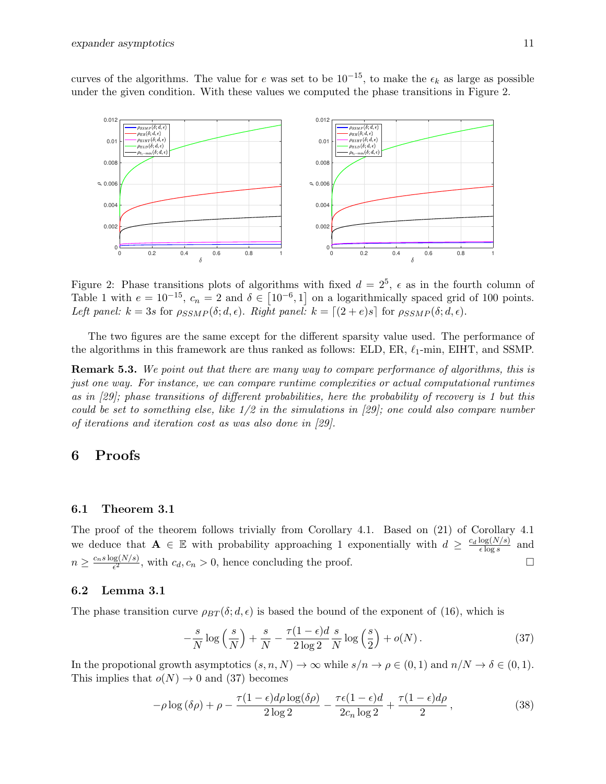curves of the algorithms. The value for e was set to be  $10^{-15}$ , to make the  $\epsilon_k$  as large as possible under the given condition. With these values we computed the phase transitions in Figure 2.



Figure 2: Phase transitions plots of algorithms with fixed  $d = 2^5$ ,  $\epsilon$  as in the fourth column of Table 1 with  $e = 10^{-15}$ ,  $c_n = 2$  and  $\delta \in [10^{-6}, 1]$  on a logarithmically spaced grid of 100 points. Left panel:  $k = 3s$  for  $\rho_{SSMP}(\delta; d, \epsilon)$ . Right panel:  $k = \lfloor (2 + e)s \rfloor$  for  $\rho_{SSMP}(\delta; d, \epsilon)$ .

The two figures are the same except for the different sparsity value used. The performance of the algorithms in this framework are thus ranked as follows: ELD, ER,  $\ell_1$ -min, EIHT, and SSMP.

**Remark 5.3.** We point out that there are many way to compare performance of algorithms, this is just one way. For instance, we can compare runtime complexities or actual computational runtimes as in [29]; phase transitions of different probabilities, here the probability of recovery is 1 but this could be set to something else, like  $1/2$  in the simulations in [29]; one could also compare number of iterations and iteration cost as was also done in [29].

## 6 Proofs

#### 6.1 Theorem 3.1

The proof of the theorem follows trivially from Corollary 4.1. Based on (21) of Corollary 4.1 we deduce that  $\mathbf{A} \in \mathbb{E}$  with probability approaching 1 exponentially with  $d \geq \frac{c_d \log(N/s)}{\epsilon \log s}$  $\epsilon$  log s and  $n \geq \frac{c_n s \log(N/s)}{\epsilon^2}$  $\frac{\log(N/s)}{\epsilon^2}$ , with  $c_d, c_n > 0$ , hence concluding the proof.

#### 6.2 Lemma 3.1

The phase transition curve  $\rho_{BT}(\delta; d, \epsilon)$  is based the bound of the exponent of (16), which is

$$
-\frac{s}{N}\log\left(\frac{s}{N}\right) + \frac{s}{N} - \frac{\tau(1-\epsilon)d}{2\log 2}\frac{s}{N}\log\left(\frac{s}{2}\right) + o(N). \tag{37}
$$

In the propotional growth asymptotics  $(s, n, N) \to \infty$  while  $s/n \to \rho \in (0, 1)$  and  $n/N \to \delta \in (0, 1)$ . This implies that  $o(N) \to 0$  and (37) becomes

$$
-\rho \log (\delta \rho) + \rho - \frac{\tau (1 - \epsilon) d \rho \log(\delta \rho)}{2 \log 2} - \frac{\tau \epsilon (1 - \epsilon) d}{2 c_n \log 2} + \frac{\tau (1 - \epsilon) d \rho}{2}, \qquad (38)
$$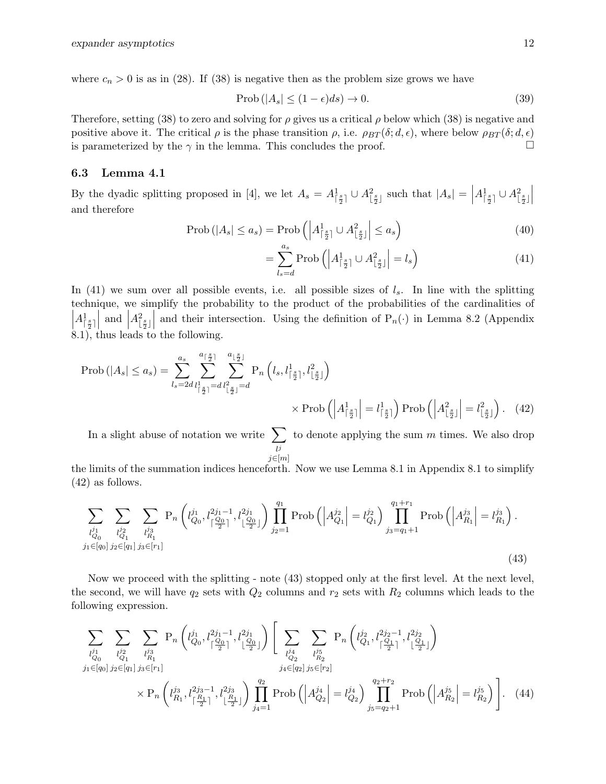where  $c_n > 0$  is as in (28). If (38) is negative then as the problem size grows we have

$$
\text{Prob}\left(|A_s| \le (1 - \epsilon)ds\right) \to 0. \tag{39}
$$

Therefore, setting (38) to zero and solving for  $\rho$  gives us a critical  $\rho$  below which (38) is negative and positive above it. The critical  $\rho$  is the phase transition  $\rho$ , i.e.  $\rho_{BT}(\delta; d, \epsilon)$ , where below  $\rho_{BT}(\delta; d, \epsilon)$ is parameterized by the  $\gamma$  in the lemma. This concludes the proof.

### 6.3 Lemma 4.1

By the dyadic splitting proposed in [4], we let  $A_s = A_{\lceil \frac{s}{2} \rceil}^1 \cup A_{\lfloor \frac{s}{2} \rfloor}^2$  such that  $|A_s| = \lceil \frac{s}{2} \rceil$  $A^1_{\lceil \frac{s}{2} \rceil} \cup A^2_{\lfloor \frac{s}{2} \rfloor}$ and therefore

$$
\text{Prob}\left(|A_s| \le a_s\right) = \text{Prob}\left(\left|A_{\lceil \frac{s}{2} \rceil}^1 \cup A_{\lfloor \frac{s}{2} \rfloor}^2\right| \le a_s\right) \tag{40}
$$

$$
= \sum_{l_s=d}^{a_s} \text{Prob}\left( \left| A^1_{\lceil \frac{s}{2} \rceil} \cup A^2_{\lfloor \frac{s}{2} \rfloor} \right| = l_s \right) \tag{41}
$$

In (41) we sum over all possible events, i.e. all possible sizes of  $l_s$ . In line with the splitting technique, we simplify the probability to the product of the probabilities of the cardinalities of  $\overline{\mathcal{L}}$  $A^1_{\lceil \frac{s}{2} \rceil}$  $\begin{array}{c} \n\text{and} \n\end{array}$  $A_{\lfloor \frac{s}{2} \rfloor}^2$  and their intersection. Using the definition of  $P_n(\cdot)$  in Lemma 8.2 (Appendix 8.1), thus leads to the following.

$$
\text{Prob}\left(|A_s| \le a_s\right) = \sum_{l_s=2d}^{a_s} \sum_{l_{\lfloor\frac{s}{2}\rfloor}^2= d}^{a_{\lfloor\frac{s}{2}\rfloor}} \sum_{l_{\lfloor\frac{s}{2}\rfloor}^2=d}^{a_{\lfloor\frac{s}{2}\rfloor}} \Pr_n\left(l_s, l_{\lfloor\frac{s}{2}\rfloor}^1, l_{\lfloor\frac{s}{2}\rfloor}^2\right) \times \text{Prob}\left(\left|A_{\lfloor\frac{s}{2}\rfloor}^1\right| = l_{\lfloor\frac{s}{2}\rfloor}^1\right) \text{Prob}\left(\left|A_{\lfloor\frac{s}{2}\rfloor}^2\right| = l_{\lfloor\frac{s}{2}\rfloor}^2\right). \tag{42}
$$

In a slight abuse of notation we write  $\sum$ l j  $j \in [m]$ to denote applying the sum  $m$  times. We also drop

the limits of the summation indices henceforth. Now we use Lemma 8.1 in Appendix 8.1 to simplify (42) as follows.

$$
\sum_{\substack{l_{Q_0}^{j_1} \\ j_1 \in [q_0]}} \sum_{\substack{l_{Q_1}^{j_2} \\ j_2 \in [q_1]}} \sum_{\substack{l_{R_1}^{j_3} \\ j_3 \in [r_1]}} \mathcal{P}_n \left( l_{Q_0}^{j_1}, l_{\lceil \frac{Q_0}{2} \rceil}^{2j_1 - 1}, l_{\lceil \frac{Q_0}{2} \rceil}^{2j_1} \right) \prod_{j_2 = 1}^{q_1} \text{Prob} \left( \left| A_{Q_1}^{j_2} \right| = l_{Q_1}^{j_2} \right) \prod_{j_3 = q_1 + 1}^{q_1 + r_1} \text{Prob} \left( \left| A_{R_1}^{j_3} \right| = l_{R_1}^{j_3} \right). \tag{43}
$$

Now we proceed with the splitting - note (43) stopped only at the first level. At the next level, the second, we will have  $q_2$  sets with  $Q_2$  columns and  $r_2$  sets with  $R_2$  columns which leads to the following expression.

$$
\sum_{\substack{l_{Q_0}^{j_1} \\ j_1 \in [q_0]}} \sum_{\substack{l_{Q_1}^{j_2} \\ j_2 \in [q_1]}} \sum_{\substack{l_{Q_1}^{j_3} \\ j_3 \in [r_1]}} \Pr\left(l_{Q_0}^{j_1}, l_{\lceil \frac{Q_0}{2} \rceil}^{2j_1 - 1}, l_{\lceil \frac{Q_0}{2} \rceil}^{2j_1} \right) \left[ \sum_{\substack{l_{Q_2}^{j_4} \\ j_4 \in [q_2]}} \sum_{\substack{l_{Q_2}^{j_5} \\ j_5 \in [r_2]}} \Pr\left(l_{Q_1}^{j_2}, l_{\lceil \frac{Q_1}{2} \rceil}^{2j_2 - 1}, l_{\lceil \frac{Q_1}{2} \rceil}^{2j_2} \right) \right] \times \Pr\left(l_{R_1}^{j_3}, l_{\lceil \frac{R_1}{2} \rceil}^{2j_3 - 1}, l_{\lceil \frac{R_1}{2} \rceil}^{2j_3} \right) \prod_{j_4 = 1}^{q_2} \Prob\left(\left| A_{Q_2}^{j_4} \right| = l_{Q_2}^{j_4} \right) \prod_{j_5 = q_2 + 1}^{q_2 + r_2} \Prob\left(\left| A_{R_2}^{j_5} \right| = l_{R_2}^{j_5} \right) \right]. \tag{44}
$$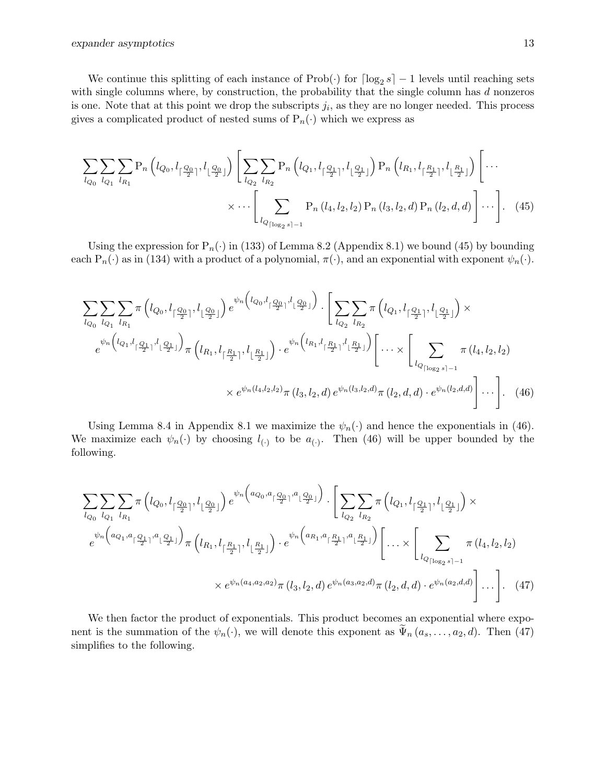We continue this splitting of each instance of  $\text{Prob}(\cdot)$  for  $\lceil \log_2 s \rceil - 1$  levels until reaching sets with single columns where, by construction, the probability that the single column has  $d$  nonzeros is one. Note that at this point we drop the subscripts  $j_i$ , as they are no longer needed. This process gives a complicated product of nested sums of  $P_n(\cdot)$  which we express as

$$
\sum_{l_{Q_0}} \sum_{l_{Q_1}} \sum_{l_{R_1}} P_n \left( l_{Q_0}, l_{\lceil \frac{Q_0}{2} \rceil}, l_{\lceil \frac{Q_0}{2} \rceil} \right) \left[ \sum_{l_{Q_2}} \sum_{l_{R_2}} P_n \left( l_{Q_1}, l_{\lceil \frac{Q_1}{2} \rceil}, l_{\lceil \frac{Q_1}{2} \rceil} \right) P_n \left( l_{R_1}, l_{\lceil \frac{R_1}{2} \rceil}, l_{\lceil \frac{R_1}{2} \rceil} \right) \left[ \cdots \right] \times \cdots \left[ \sum_{l_{Q_{\lceil \log_2 s \rceil - 1}}} P_n \left( l_4, l_2, l_2 \right) P_n \left( l_3, l_2, d \right) P_n \left( l_2, d, d \right) \right] \cdots \right]. \tag{45}
$$

Using the expression for  $P_n(\cdot)$  in (133) of Lemma 8.2 (Appendix 8.1) we bound (45) by bounding each  $P_n(\cdot)$  as in (134) with a product of a polynomial,  $\pi(\cdot)$ , and an exponential with exponent  $\psi_n(\cdot)$ .

$$
\sum_{l_{Q_0}} \sum_{l_{Q_1}} \sum_{l_{R_1}} \pi \left( l_{Q_0}, l_{\lceil \frac{Q_0}{2} \rceil}, l_{\lceil \frac{Q_0}{2} \rceil} \right) e^{\psi_n \left( l_{Q_0}, l_{\lceil \frac{Q_0}{2} \rceil}, l_{\lceil \frac{Q_0}{2} \rceil} \right)} \cdot \left[ \sum_{l_{Q_2}} \sum_{l_{R_2}} \pi \left( l_{Q_1}, l_{\lceil \frac{Q_1}{2} \rceil}, l_{\lceil \frac{Q_1}{2} \rceil} \right) \times \right] e^{\psi_n \left( l_{Q_1}, l_{\lceil \frac{Q_1}{2} \rceil}, l_{\lceil \frac{Q_1}{2} \rceil} \right)} \pi \left( l_{R_1}, l_{\lceil \frac{R_1}{2} \rceil}, l_{\lceil \frac{R_1}{2} \rceil} \right) \cdot e^{\psi_n \left( l_{R_1}, l_{\lceil \frac{R_1}{2} \rceil}, l_{\lceil \frac{R_1}{2} \rceil} \right)} \left[ \dots \times \left[ \sum_{l_{Q_{\lceil \log_2 s \rceil - 1}}} \pi \left( l_4, l_2, l_2 \right) \times e^{\psi_n \left( l_4, l_2, l_2 \right)} \pi \left( l_3, l_2, d \right) e^{\psi_n \left( l_3, l_2, d \right)} \pi \left( l_2, d, d \right) \cdot e^{\psi_n \left( l_2, d, d \right)} \right] \dots \right]. \tag{46}
$$

Using Lemma 8.4 in Appendix 8.1 we maximize the  $\psi_n(\cdot)$  and hence the exponentials in (46). We maximize each  $\psi_n(\cdot)$  by choosing  $l_{(\cdot)}$  to be  $a_{(\cdot)}$ . Then (46) will be upper bounded by the following.

$$
\sum_{l_{Q_0}} \sum_{l_{Q_1}} \sum_{l_{R_1}} \pi \left( l_{Q_0}, l_{\lceil \frac{Q_0}{2} \rceil}, l_{\lceil \frac{Q_0}{2} \rceil} \right) e^{\psi_n \left( a_{Q_0}, a_{\lceil \frac{Q_0}{2} \rceil}, a_{\lceil \frac{Q_0}{2} \rceil} \right)} \cdot \left[ \sum_{l_{Q_2}} \sum_{l_{R_2}} \pi \left( l_{Q_1}, l_{\lceil \frac{Q_1}{2} \rceil}, l_{\lceil \frac{Q_1}{2} \rceil} \right) \times \right] e^{\psi_n \left( a_{Q_1}, a_{\lceil \frac{Q_1}{2} \rceil}, a_{\lceil \frac{Q_1}{2} \rceil} \right)} \pi \left( l_{R_1}, l_{\lceil \frac{R_1}{2} \rceil}, l_{\lceil \frac{R_1}{2} \rceil} \right) \cdot e^{\psi_n \left( a_{R_1}, a_{\lceil \frac{R_1}{2} \rceil}, a_{\lceil \frac{R_1}{2} \rceil} \right)} \left[ \dots \times \left[ \sum_{l_{Q_{\lceil \log_2 s \rceil - 1}}} \pi \left( l_4, l_2, l_2 \right) \right] \times e^{\psi_n \left( a_{4}, a_{2}, a_{2} \right)} \pi \left( l_3, l_2, d \right) e^{\psi_n \left( a_{3}, a_{2}, d \right)} \pi \left( l_2, d, d \right) \cdot e^{\psi_n \left( a_{2}, d, d \right)} \right] \dots \right]. \tag{47}
$$

We then factor the product of exponentials. This product becomes an exponential where exponent is the summation of the  $\psi_n(\cdot)$ , we will denote this exponent as  $\tilde{\Psi}_n(a_s,\ldots,a_2,d)$ . Then (47) simplifies to the following.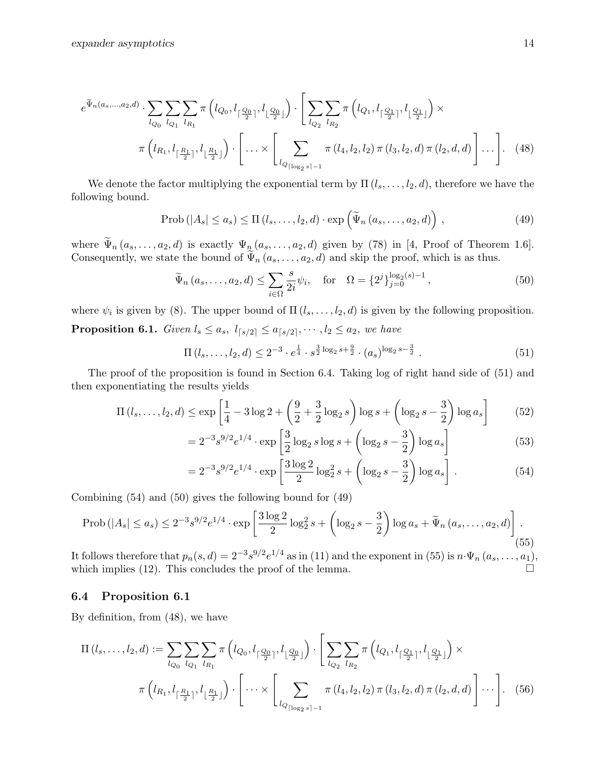$$
e^{\widetilde{\Psi}_{n}(a_{s},...,a_{2},d)} \cdot \sum_{l_{Q_{0}}} \sum_{l_{Q_{1}}} \sum_{l_{R_{1}}} \pi\left(l_{Q_{0}}, l_{\lceil \frac{Q_{0}}{2}\rceil}, l_{\lfloor \frac{Q_{0}}{2}\rfloor}\right) \cdot \left[\sum_{l_{Q_{2}}} \sum_{l_{R_{2}}} \pi\left(l_{Q_{1}}, l_{\lceil \frac{Q_{1}}{2}\rceil}, l_{\lfloor \frac{Q_{1}}{2}\rfloor}\right) \times \pi\left(l_{R_{1}}, l_{\lceil \frac{R_{1}}{2}\rceil}, l_{\lfloor \frac{R_{1}}{2}\rfloor}\right) \cdot \left[\dots \times \left[\sum_{l_{Q_{\lceil \log_{2} s \rceil - 1}}} \pi\left(l_{4}, l_{2}, l_{2}\right) \pi\left(l_{3}, l_{2}, d\right) \pi\left(l_{2}, d, d\right)\right] \dots\right].
$$
\n(48)

We denote the factor multiplying the exponential term by  $\Pi$   $(l_s, \ldots, l_2, d)$ , therefore we have the following bound.

$$
\text{Prob}\left(|A_s| \le a_s\right) \le \Pi\left(l_s, \ldots, l_2, d\right) \cdot \exp\left(\widetilde{\Psi}_n\left(a_s, \ldots, a_2, d\right)\right),\tag{49}
$$

where  $\widetilde{\Psi}_n(a_s,\ldots,a_2,d)$  is exactly  $\Psi_n(a_s,\ldots,a_2,d)$  given by (78) in [4, Proof of Theorem 1.6]. Consequently, we state the bound of  $\widetilde{\Psi}_n(a_s, \ldots, a_2, d)$  and skip the proof, which is as thus.

$$
\widetilde{\Psi}_n(a_s, ..., a_2, d) \le \sum_{i \in \Omega} \frac{s}{2i} \psi_i, \text{ for } \Omega = \{2^j\}_{j=0}^{\log_2(s)-1},
$$
\n(50)

where  $\psi_i$  is given by (8). The upper bound of  $\Pi(l_s, \ldots, l_2, d)$  is given by the following proposition. **Proposition 6.1.** Given  $l_s \leq a_s$ ,  $l_{\lceil s/2 \rceil} \leq a_{\lceil s/2 \rceil}$ ,  $\cdots$ ,  $l_2 \leq a_2$ , we have

$$
\Pi(l_s, \dots, l_2, d) \le 2^{-3} \cdot e^{\frac{1}{4}} \cdot s^{\frac{3}{2} \log_2 s + \frac{9}{2}} \cdot (a_s)^{\log_2 s - \frac{3}{2}}.
$$
\n
$$
(51)
$$

The proof of the proposition is found in Section 6.4. Taking log of right hand side of (51) and then exponentiating the results yields

$$
\Pi(l_s, ..., l_2, d) \le \exp\left[\frac{1}{4} - 3\log 2 + \left(\frac{9}{2} + \frac{3}{2}\log_2 s\right)\log s + \left(\log_2 s - \frac{3}{2}\right)\log a_s\right] \tag{52}
$$

$$
=2^{-3}s^{9/2}e^{1/4}\cdot\exp\left[\frac{3}{2}\log_2 s\log s+\left(\log_2 s-\frac{3}{2}\right)\log a_s\right]
$$
(53)

$$
=2^{-3}s^{9/2}e^{1/4}\cdot\exp\left[\frac{3\log 2}{2}\log_2^2 s+\left(\log_2 s-\frac{3}{2}\right)\log a_s\right].
$$
 (54)

Combining (54) and (50) gives the following bound for (49)

$$
\text{Prob}\left(|A_s| \le a_s\right) \le 2^{-3} s^{9/2} e^{1/4} \cdot \exp\left[\frac{3\log 2}{2}\log_2^2 s + \left(\log_2 s - \frac{3}{2}\right)\log a_s + \widetilde{\Psi}_n\left(a_s, \dots, a_2, d\right)\right].\tag{55}
$$

It follows therefore that  $p_n(s, d) = 2^{-3} s^{9/2} e^{1/4}$  as in (11) and the exponent in (55) is  $n \cdot \Psi_n (a_s, \ldots, a_1)$ , which implies (12). This concludes the proof of the lemma.  $\square$ 

#### 6.4 Proposition 6.1

By definition, from (48), we have

$$
\Pi(l_s, \ldots, l_2, d) := \sum_{l_{Q_0}} \sum_{l_{Q_1}} \sum_{l_{R_1}} \pi \left( l_{Q_0}, l_{\lceil \frac{Q_0}{2} \rceil}, l_{\lceil \frac{Q_0}{2} \rceil} \right) \cdot \left[ \sum_{l_{Q_2}} \sum_{l_{R_2}} \pi \left( l_{Q_1}, l_{\lceil \frac{Q_1}{2} \rceil}, l_{\lceil \frac{Q_1}{2} \rceil} \right) \times \pi \left( l_{R_1}, l_{\lceil \frac{R_1}{2} \rceil}, l_{\lceil \frac{R_1}{2} \rceil} \right) \cdot \left[ \cdots \times \left[ \sum_{l_{Q_{\lceil \log_2 s \rceil - 1}}} \pi \left( l_4, l_2, l_2 \right) \pi \left( l_3, l_2, d \right) \pi \left( l_2, d, d \right) \right] \cdots \right].
$$
\n(56)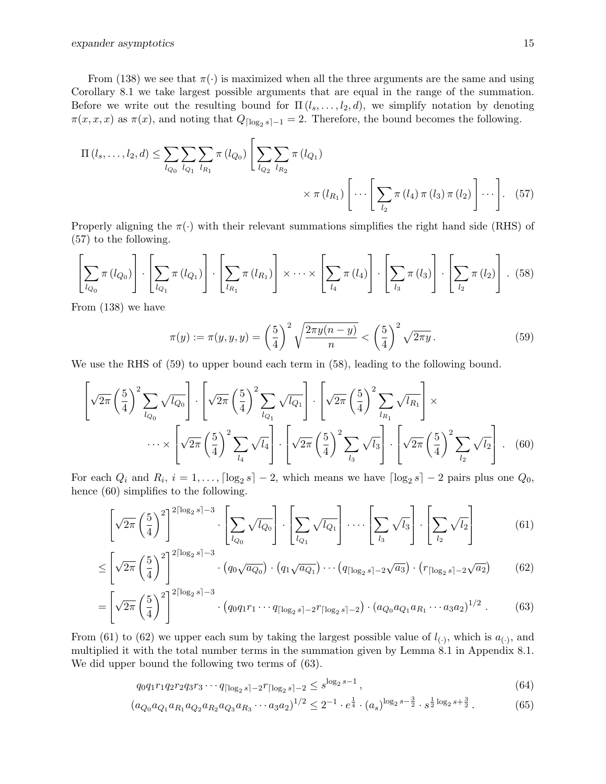From (138) we see that  $\pi(\cdot)$  is maximized when all the three arguments are the same and using Corollary 8.1 we take largest possible arguments that are equal in the range of the summation. Before we write out the resulting bound for  $\Pi(l_s, \ldots, l_2, d)$ , we simplify notation by denoting  $\pi(x, x, x)$  as  $\pi(x)$ , and noting that  $Q_{\lceil \log_2 s \rceil - 1} = 2$ . Therefore, the bound becomes the following.

$$
\Pi(l_s, ..., l_2, d) \leq \sum_{l_{Q_0}} \sum_{l_{Q_1}} \sum_{l_{R_1}} \pi(l_{Q_0}) \left[ \sum_{l_{Q_2}} \sum_{l_{R_2}} \pi(l_{Q_1}) \times \pi(l_{R_1}) \left[ \cdots \left[ \sum_{l_2} \pi(l_4) \pi(l_3) \pi(l_2) \right] \cdots \right].
$$
 (57)

Properly aligning the  $\pi(\cdot)$  with their relevant summations simplifies the right hand side (RHS) of (57) to the following.

$$
\left[\sum_{l_{Q_0}} \pi(l_{Q_0})\right] \cdot \left[\sum_{l_{Q_1}} \pi(l_{Q_1})\right] \cdot \left[\sum_{l_{R_1}} \pi(l_{R_1})\right] \times \cdots \times \left[\sum_{l_4} \pi(l_4)\right] \cdot \left[\sum_{l_3} \pi(l_3)\right] \cdot \left[\sum_{l_2} \pi(l_2)\right] \tag{58}
$$

From (138) we have

$$
\pi(y) := \pi(y, y, y) = \left(\frac{5}{4}\right)^2 \sqrt{\frac{2\pi y(n-y)}{n}} < \left(\frac{5}{4}\right)^2 \sqrt{2\pi y} \,. \tag{59}
$$

We use the RHS of  $(59)$  to upper bound each term in  $(58)$ , leading to the following bound.

$$
\left[\sqrt{2\pi}\left(\frac{5}{4}\right)^2\sum_{l_{Q_0}}\sqrt{l_{Q_0}}\right]\cdot\left[\sqrt{2\pi}\left(\frac{5}{4}\right)^2\sum_{l_{Q_1}}\sqrt{l_{Q_1}}\right]\cdot\left[\sqrt{2\pi}\left(\frac{5}{4}\right)^2\sum_{l_{R_1}}\sqrt{l_{R_1}}\right]\times\cdots\times\left[\sqrt{2\pi}\left(\frac{5}{4}\right)^2\sum_{l_{A}}\sqrt{l_{A}}\right]\cdot\left[\sqrt{2\pi}\left(\frac{5}{4}\right)^2\sum_{l_{3}}\sqrt{l_{3}}\right]\cdot\left[\sqrt{2\pi}\left(\frac{5}{4}\right)^2\sum_{l_{2}}\sqrt{l_{2}}\right]\,. \tag{60}
$$

For each  $Q_i$  and  $R_i$ ,  $i = 1, ..., \lceil \log_2 s \rceil - 2$ , which means we have  $\lceil \log_2 s \rceil - 2$  pairs plus one  $Q_0$ , hence (60) simplifies to the following.

$$
\left[\sqrt{2\pi}\left(\frac{5}{4}\right)^2\right]^{2\lceil \log_2 s \rceil - 3} \cdot \left[\sum_{l_{Q_0}} \sqrt{l_{Q_0}}\right] \cdot \left[\sum_{l_{Q_1}} \sqrt{l_{Q_1}}\right] \cdot \dots \cdot \left[\sum_{l_3} \sqrt{l_3}\right] \cdot \left[\sum_{l_2} \sqrt{l_2}\right] \tag{61}
$$

$$
\leq \left[\sqrt{2\pi} \left(\frac{5}{4}\right)^2\right]^{2\lceil \log_2 s \rceil - 3} \cdot \left(q_0 \sqrt{a_{Q_0}}\right) \cdot \left(q_1 \sqrt{a_{Q_1}}\right) \cdots \left(q_{\lceil \log_2 s \rceil - 2} \sqrt{a_3}\right) \cdot \left(r_{\lceil \log_2 s \rceil - 2} \sqrt{a_2}\right) \tag{62}
$$

$$
= \left[\sqrt{2\pi} \left(\frac{5}{4}\right)^2\right]^{2\lceil \log_2 s \rceil - 3} \cdot \left(q_0 q_1 r_1 \cdots q_{\lceil \log_2 s \rceil - 2} r_{\lceil \log_2 s \rceil - 2}\right) \cdot \left(a_{Q_0} a_{Q_1} a_{R_1} \cdots a_{3} a_2\right)^{1/2} \,. \tag{63}
$$

From (61) to (62) we upper each sum by taking the largest possible value of  $l_{(\cdot)}$ , which is  $a_{(\cdot)}$ , and multiplied it with the total number terms in the summation given by Lemma 8.1 in Appendix 8.1. We did upper bound the following two terms of (63).

$$
q_0 q_1 r_1 q_2 r_2 q_3 r_3 \cdots q_{\lceil \log_2 s \rceil - 2} r_{\lceil \log_2 s \rceil - 2} \le s^{\log_2 s - 1},\tag{64}
$$

$$
(a_{Q_0}a_{Q_1}a_{R_1}a_{Q_2}a_{R_2}a_{Q_3}a_{R_3}\cdots a_3a_2)^{1/2} \leq 2^{-1} \cdot e^{\frac{1}{4}} \cdot (a_s)^{\log_2 s - \frac{3}{2}} \cdot s^{\frac{1}{2}\log_2 s + \frac{3}{2}}.
$$
 (65)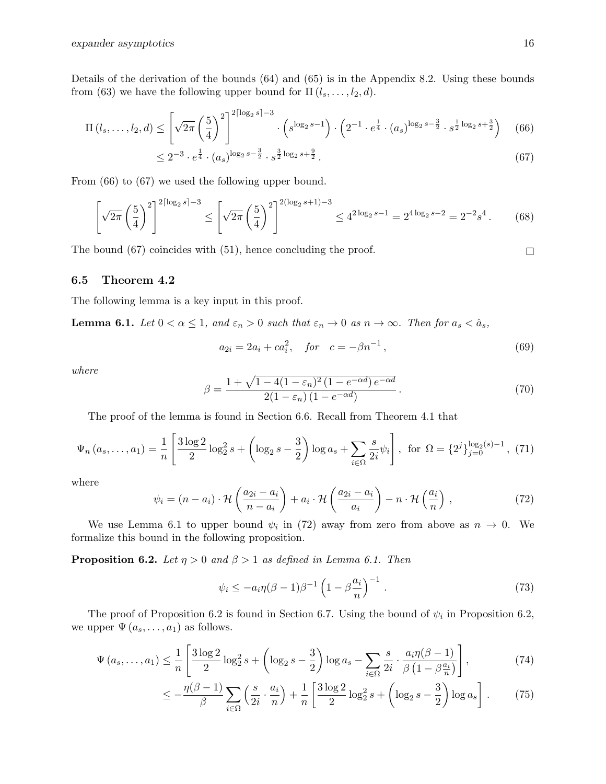Details of the derivation of the bounds (64) and (65) is in the Appendix 8.2. Using these bounds from (63) we have the following upper bound for  $\Pi(l_s, \ldots, l_2, d)$ .

$$
\Pi(l_s, \dots, l_2, d) \le \left[ \sqrt{2\pi} \left( \frac{5}{4} \right)^2 \right]^{2\lceil \log_2 s \rceil - 3} \cdot \left( s^{\log_2 s - 1} \right) \cdot \left( 2^{-1} \cdot e^{\frac{1}{4}} \cdot (a_s)^{\log_2 s - \frac{3}{2}} \cdot s^{\frac{1}{2} \log_2 s + \frac{3}{2}} \right) \tag{66}
$$

$$
\leq 2^{-3} \cdot e^{\frac{1}{4}} \cdot (a_s)^{\log_2 s - \frac{3}{2}} \cdot s^{\frac{3}{2}\log_2 s + \frac{9}{2}}.
$$
\n
$$
(67)
$$

From (66) to (67) we used the following upper bound.

$$
\left[\sqrt{2\pi}\left(\frac{5}{4}\right)^2\right]^{2\lceil \log_2 s \rceil - 3} \le \left[\sqrt{2\pi}\left(\frac{5}{4}\right)^2\right]^{2(\log_2 s + 1) - 3} \le 4^{2\log_2 s - 1} = 2^{4\log_2 s - 2} = 2^{-2}s^4. \tag{68}
$$

The bound (67) coincides with (51), hence concluding the proof.  $\square$ 

## 6.5 Theorem 4.2

The following lemma is a key input in this proof.

**Lemma 6.1.** Let  $0 < \alpha \leq 1$ , and  $\varepsilon_n > 0$  such that  $\varepsilon_n \to 0$  as  $n \to \infty$ . Then for  $a_s < \hat{a}_s$ ,

$$
a_{2i} = 2a_i + ca_i^2, \quad for \quad c = -\beta n^{-1}, \tag{69}
$$

where

$$
\beta = \frac{1 + \sqrt{1 - 4(1 - \varepsilon_n)^2 (1 - e^{-\alpha d}) e^{-\alpha d}}}{2(1 - \varepsilon_n) (1 - e^{-\alpha d})}.
$$
\n(70)

The proof of the lemma is found in Section 6.6. Recall from Theorem 4.1 that

$$
\Psi_n(a_s, \dots, a_1) = \frac{1}{n} \left[ \frac{3 \log 2}{2} \log_2^2 s + \left( \log_2 s - \frac{3}{2} \right) \log a_s + \sum_{i \in \Omega} \frac{s}{2i} \psi_i \right], \text{ for } \Omega = \{2^j\}_{j=0}^{\log_2(s)-1}, (71)
$$

where

$$
\psi_i = (n - a_i) \cdot \mathcal{H}\left(\frac{a_{2i} - a_i}{n - a_i}\right) + a_i \cdot \mathcal{H}\left(\frac{a_{2i} - a_i}{a_i}\right) - n \cdot \mathcal{H}\left(\frac{a_i}{n}\right) ,\qquad (72)
$$

We use Lemma 6.1 to upper bound  $\psi_i$  in (72) away from zero from above as  $n \to 0$ . We formalize this bound in the following proposition.

**Proposition 6.2.** Let  $\eta > 0$  and  $\beta > 1$  as defined in Lemma 6.1. Then

$$
\psi_i \le -a_i \eta (\beta - 1) \beta^{-1} \left( 1 - \beta \frac{a_i}{n} \right)^{-1} . \tag{73}
$$

The proof of Proposition 6.2 is found in Section 6.7. Using the bound of  $\psi_i$  in Proposition 6.2, we upper  $\Psi(a_s, \ldots, a_1)$  as follows.

$$
\Psi\left(a_s,\ldots,a_1\right) \leq \frac{1}{n} \left[ \frac{3\log 2}{2}\log_2^2 s + \left(\log_2 s - \frac{3}{2}\right)\log a_s - \sum_{i \in \Omega} \frac{s}{2i} \cdot \frac{a_i \eta(\beta - 1)}{\beta \left(1 - \beta \frac{a_i}{n}\right)} \right],\tag{74}
$$

$$
\leq -\frac{\eta(\beta-1)}{\beta} \sum_{i\in\Omega} \left(\frac{s}{2i} \cdot \frac{a_i}{n}\right) + \frac{1}{n} \left[\frac{3\log 2}{2}\log_2^2 s + \left(\log_2 s - \frac{3}{2}\right)\log a_s\right].\tag{75}
$$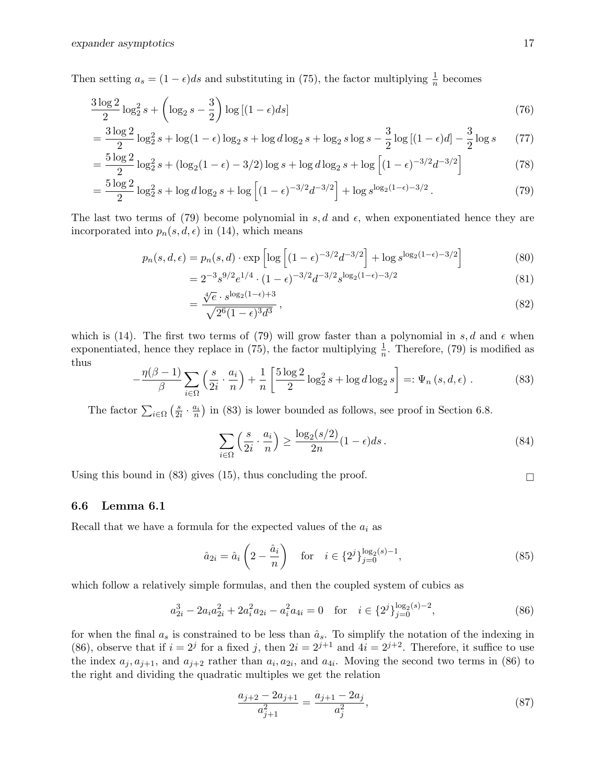Then setting  $a_s = (1 - \epsilon)ds$  and substituting in (75), the factor multiplying  $\frac{1}{n}$  becomes

$$
\frac{3\log 2}{2}\log_2^2 s + \left(\log_2 s - \frac{3}{2}\right)\log\left[(1-\epsilon)ds\right]
$$
\n(76)

$$
= \frac{3\log 2}{2}\log_2^2 s + \log(1-\epsilon)\log_2 s + \log d \log_2 s + \log_2 s \log s - \frac{3}{2}\log[(1-\epsilon)d] - \frac{3}{2}\log s \tag{77}
$$

$$
= \frac{5\log 2}{2}\log_2^2 s + (\log_2(1-\epsilon) - 3/2)\log s + \log d \log_2 s + \log \left[ (1-\epsilon)^{-3/2} d^{-3/2} \right] \tag{78}
$$

$$
= \frac{5\log 2}{2}\log_2^2 s + \log d \log_2 s + \log \left[ (1 - \epsilon)^{-3/2} d^{-3/2} \right] + \log s^{\log_2(1 - \epsilon) - 3/2}.
$$
 (79)

The last two terms of (79) become polynomial in s, d and  $\epsilon$ , when exponentiated hence they are incorporated into  $p_n(s, d, \epsilon)$  in (14), which means

$$
p_n(s, d, \epsilon) = p_n(s, d) \cdot \exp\left[ \log\left[ (1 - \epsilon)^{-3/2} d^{-3/2} \right] + \log s^{\log_2(1 - \epsilon) - 3/2} \right]
$$
(80)

$$
=2^{-3}s^{9/2}e^{1/4}\cdot(1-\epsilon)^{-3/2}d^{-3/2}s^{\log_2(1-\epsilon)-3/2}
$$
\n(81)

$$
=\frac{\sqrt[4]{e} \cdot s^{\log_2(1-\epsilon)+3}}{\sqrt{2^6(1-\epsilon)^3 d^3}},\tag{82}
$$

which is (14). The first two terms of (79) will grow faster than a polynomial in s, d and  $\epsilon$  when exponentiated, hence they replace in (75), the factor multiplying  $\frac{1}{n}$ . Therefore, (79) is modified as thus

$$
-\frac{\eta(\beta-1)}{\beta}\sum_{i\in\Omega}\left(\frac{s}{2i}\cdot\frac{a_i}{n}\right)+\frac{1}{n}\left[\frac{5\log 2}{2}\log_2^2 s+\log d\log_2 s\right]=:\Psi_n\left(s,d,\epsilon\right). \tag{83}
$$

The factor  $\sum_{i \in \Omega} \left(\frac{s}{2i}\right)$  $\frac{s}{2i} \cdot \frac{a_i}{n}$  in (83) is lower bounded as follows, see proof in Section 6.8.

$$
\sum_{i \in \Omega} \left( \frac{s}{2i} \cdot \frac{a_i}{n} \right) \ge \frac{\log_2(s/2)}{2n} (1 - \epsilon) ds. \tag{84}
$$

Using this bound in (83) gives (15), thus concluding the proof.

### 6.6 Lemma 6.1

Recall that we have a formula for the expected values of the  $a_i$  as

$$
\hat{a}_{2i} = \hat{a}_i \left( 2 - \frac{\hat{a}_i}{n} \right) \quad \text{for} \quad i \in \{2^j\}_{j=0}^{\log_2(s)-1},\tag{85}
$$

which follow a relatively simple formulas, and then the coupled system of cubics as

$$
a_{2i}^3 - 2a_i a_{2i}^2 + 2a_i^2 a_{2i} - a_i^2 a_{4i} = 0 \quad \text{for} \quad i \in \{2^j\}_{j=0}^{\log_2(s)-2},\tag{86}
$$

for when the final  $a_s$  is constrained to be less than  $\hat{a}_s$ . To simplify the notation of the indexing in (86), observe that if  $i = 2^j$  for a fixed j, then  $2i = 2^{j+1}$  and  $4i = 2^{j+2}$ . Therefore, it suffice to use the index  $a_j, a_{j+1}$ , and  $a_{j+2}$  rather than  $a_i, a_{2i}$ , and  $a_{4i}$ . Moving the second two terms in (86) to the right and dividing the quadratic multiples we get the relation

$$
\frac{a_{j+2} - 2a_{j+1}}{a_{j+1}^2} = \frac{a_{j+1} - 2a_j}{a_j^2},\tag{87}
$$

$$
\Box
$$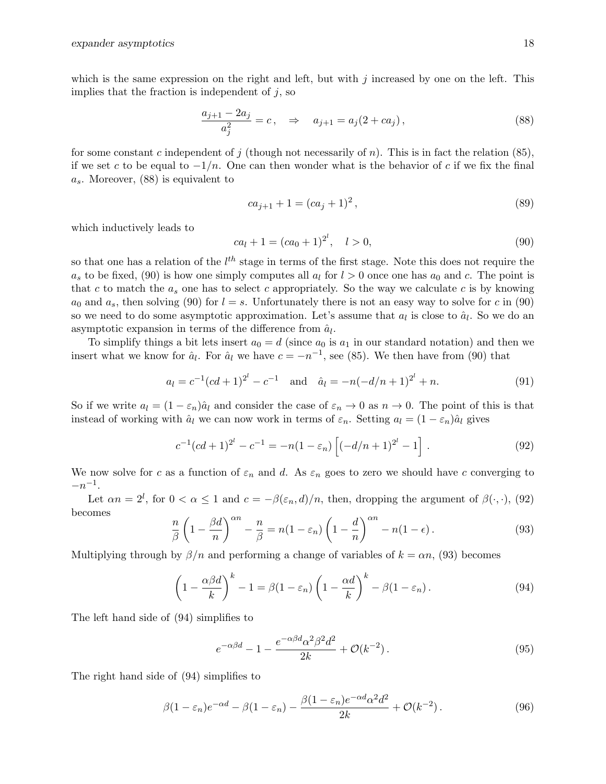which is the same expression on the right and left, but with  $j$  increased by one on the left. This implies that the fraction is independent of  $j$ , so

$$
\frac{a_{j+1} - 2a_j}{a_j^2} = c, \quad \Rightarrow \quad a_{j+1} = a_j(2 + ca_j), \tag{88}
$$

for some constant c independent of j (though not necessarily of n). This is in fact the relation (85), if we set c to be equal to  $-1/n$ . One can then wonder what is the behavior of c if we fix the final  $a_s$ . Moreover, (88) is equivalent to

$$
ca_{j+1} + 1 = (ca_j + 1)^2, \tag{89}
$$

which inductively leads to

$$
ca_l + 1 = (ca_0 + 1)^{2^l}, \quad l > 0,
$$
\n(90)

so that one has a relation of the  $l^{th}$  stage in terms of the first stage. Note this does not require the  $a_s$  to be fixed, (90) is how one simply computes all  $a_l$  for  $l > 0$  once one has  $a_0$  and c. The point is that c to match the  $a_s$  one has to select c appropriately. So the way we calculate c is by knowing  $a_0$  and  $a_s$ , then solving (90) for  $l = s$ . Unfortunately there is not an easy way to solve for c in (90) so we need to do some asymptotic approximation. Let's assume that  $a_l$  is close to  $\hat{a}_l$ . So we do an asymptotic expansion in terms of the difference from  $\hat{a}_l$ .

To simplify things a bit lets insert  $a_0 = d$  (since  $a_0$  is  $a_1$  in our standard notation) and then we insert what we know for  $\hat{a}_l$ . For  $\hat{a}_l$  we have  $c = -n^{-1}$ , see (85). We then have from (90) that

$$
a_l = c^{-1}(cd+1)^{2^l} - c^{-1} \quad \text{and} \quad \hat{a}_l = -n(-d/n+1)^{2^l} + n. \tag{91}
$$

So if we write  $a_l = (1 - \varepsilon_n)\hat{a}_l$  and consider the case of  $\varepsilon_n \to 0$  as  $n \to 0$ . The point of this is that instead of working with  $\hat{a}_l$  we can now work in terms of  $\varepsilon_n$ . Setting  $a_l = (1 - \varepsilon_n)\hat{a}_l$  gives

$$
c^{-1}(cd+1)^{2^l} - c^{-1} = -n(1 - \varepsilon_n) \left[ (-d/n + 1)^{2^l} - 1 \right]. \tag{92}
$$

We now solve for c as a function of  $\varepsilon_n$  and d. As  $\varepsilon_n$  goes to zero we should have c converging to  $-n^{-1}$ .

Let  $\alpha n = 2^l$ , for  $0 < \alpha \leq 1$  and  $c = -\beta(\varepsilon_n, d)/n$ , then, dropping the argument of  $\beta(\cdot, \cdot)$ , (92) becomes

$$
\frac{n}{\beta} \left( 1 - \frac{\beta d}{n} \right)^{\alpha n} - \frac{n}{\beta} = n(1 - \varepsilon_n) \left( 1 - \frac{d}{n} \right)^{\alpha n} - n(1 - \epsilon).
$$
\n(93)

Multiplying through by  $\beta/n$  and performing a change of variables of  $k = \alpha n$ , (93) becomes

$$
\left(1 - \frac{\alpha \beta d}{k}\right)^k - 1 = \beta(1 - \varepsilon_n) \left(1 - \frac{\alpha d}{k}\right)^k - \beta(1 - \varepsilon_n). \tag{94}
$$

The left hand side of (94) simplifies to

$$
e^{-\alpha\beta d} - 1 - \frac{e^{-\alpha\beta d} \alpha^2 \beta^2 d^2}{2k} + \mathcal{O}(k^{-2}).
$$
\n(95)

The right hand side of (94) simplifies to

$$
\beta(1 - \varepsilon_n)e^{-\alpha d} - \beta(1 - \varepsilon_n) - \frac{\beta(1 - \varepsilon_n)e^{-\alpha d}\alpha^2 d^2}{2k} + \mathcal{O}(k^{-2}).
$$
\n(96)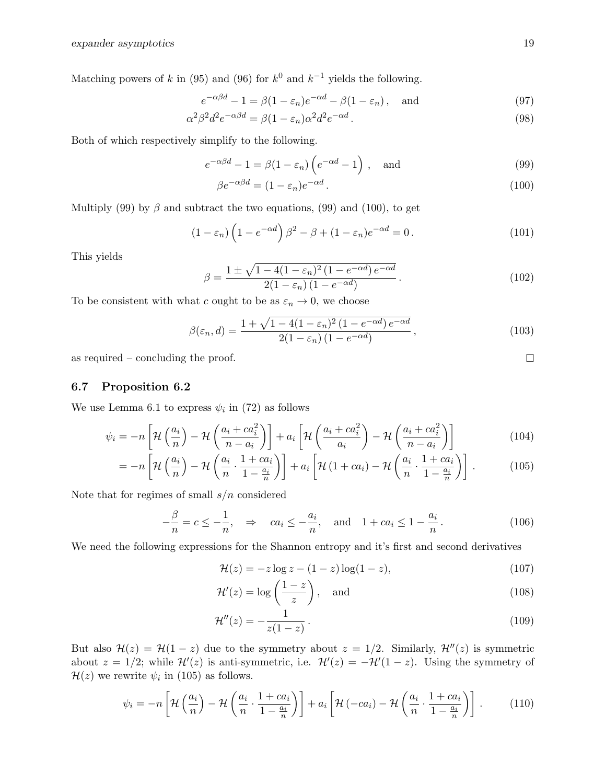Matching powers of k in (95) and (96) for  $k^0$  and  $k^{-1}$  yields the following.

$$
e^{-\alpha\beta d} - 1 = \beta(1 - \varepsilon_n)e^{-\alpha d} - \beta(1 - \varepsilon_n), \text{ and} \tag{97}
$$

$$
\alpha^2 \beta^2 d^2 e^{-\alpha \beta d} = \beta (1 - \varepsilon_n) \alpha^2 d^2 e^{-\alpha d}.
$$
\n(98)

Both of which respectively simplify to the following.

$$
e^{-\alpha\beta d} - 1 = \beta(1 - \varepsilon_n) \left( e^{-\alpha d} - 1 \right), \quad \text{and} \tag{99}
$$

$$
\beta e^{-\alpha \beta d} = (1 - \varepsilon_n) e^{-\alpha d}.
$$
\n(100)

Multiply (99) by  $\beta$  and subtract the two equations, (99) and (100), to get

$$
(1 - \varepsilon_n) \left( 1 - e^{-\alpha d} \right) \beta^2 - \beta + (1 - \varepsilon_n) e^{-\alpha d} = 0.
$$
 (101)

This yields

$$
\beta = \frac{1 \pm \sqrt{1 - 4(1 - \varepsilon_n)^2 (1 - e^{-\alpha d}) e^{-\alpha d}}}{2(1 - \varepsilon_n) (1 - e^{-\alpha d})}.
$$
\n(102)

To be consistent with what c ought to be as  $\varepsilon_n \to 0$ , we choose

$$
\beta(\varepsilon_n, d) = \frac{1 + \sqrt{1 - 4(1 - \varepsilon_n)^2 (1 - e^{-\alpha d}) e^{-\alpha d}}}{2(1 - \varepsilon_n) (1 - e^{-\alpha d})},
$$
\n(103)

as required – concluding the proof.  $\Box$ 

### 6.7 Proposition 6.2

We use Lemma 6.1 to express  $\psi_i$  in (72) as follows

$$
\psi_i = -n \left[ \mathcal{H}\left(\frac{a_i}{n}\right) - \mathcal{H}\left(\frac{a_i + ca_i^2}{n - a_i}\right) \right] + a_i \left[ \mathcal{H}\left(\frac{a_i + ca_i^2}{a_i}\right) - \mathcal{H}\left(\frac{a_i + ca_i^2}{n - a_i}\right) \right]
$$
(104)

$$
= -n\left[\mathcal{H}\left(\frac{a_i}{n}\right) - \mathcal{H}\left(\frac{a_i}{n}\cdot\frac{1+ca_i}{1-\frac{a_i}{n}}\right)\right] + a_i\left[\mathcal{H}\left(1+ca_i\right) - \mathcal{H}\left(\frac{a_i}{n}\cdot\frac{1+ca_i}{1-\frac{a_i}{n}}\right)\right].
$$
 (105)

Note that for regimes of small  $s/n$  considered

$$
-\frac{\beta}{n} = c \le -\frac{1}{n}, \quad \Rightarrow \quad ca_i \le -\frac{a_i}{n}, \quad \text{and} \quad 1 + ca_i \le 1 - \frac{a_i}{n}. \tag{106}
$$

We need the following expressions for the Shannon entropy and it's first and second derivatives

$$
\mathcal{H}(z) = -z \log z - (1-z) \log(1-z),\tag{107}
$$

$$
\mathcal{H}'(z) = \log\left(\frac{1-z}{z}\right), \quad \text{and} \tag{108}
$$

$$
\mathcal{H}''(z) = -\frac{1}{z(1-z)}\,. \tag{109}
$$

But also  $\mathcal{H}(z) = \mathcal{H}(1-z)$  due to the symmetry about  $z = 1/2$ . Similarly,  $\mathcal{H}''(z)$  is symmetric about  $z = 1/2$ ; while  $\mathcal{H}'(z)$  is anti-symmetric, i.e.  $\mathcal{H}'(z) = -\mathcal{H}'(1-z)$ . Using the symmetry of  $\mathcal{H}(z)$  we rewrite  $\psi_i$  in (105) as follows.

$$
\psi_i = -n \left[ \mathcal{H}\left(\frac{a_i}{n}\right) - \mathcal{H}\left(\frac{a_i}{n} \cdot \frac{1 + ca_i}{1 - \frac{a_i}{n}}\right) \right] + a_i \left[ \mathcal{H}\left(-ca_i\right) - \mathcal{H}\left(\frac{a_i}{n} \cdot \frac{1 + ca_i}{1 - \frac{a_i}{n}}\right) \right].
$$
 (110)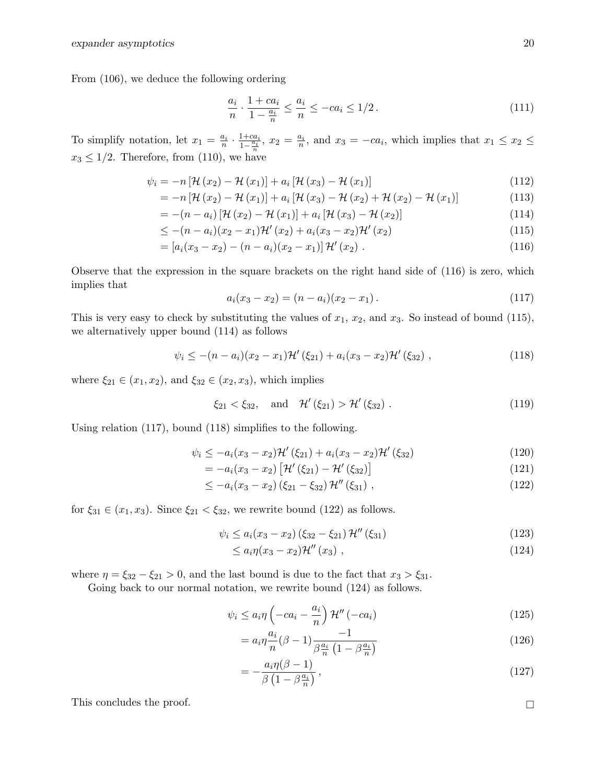From (106), we deduce the following ordering

$$
\frac{a_i}{n} \cdot \frac{1 + ca_i}{1 - \frac{a_i}{n}} \le \frac{a_i}{n} \le -ca_i \le 1/2. \tag{111}
$$

To simplify notation, let  $x_1 = \frac{a_i}{n} \cdot \frac{1+ca_i}{1-\frac{a_i}{n}}$  $\frac{1+ca_i}{1-\frac{a_i}{n}}, x_2 = \frac{a_i}{n}$ , and  $x_3 = -ca_i$ , which implies that  $x_1 \leq x_2 \leq$  $x_3 \leq 1/2$ . Therefore, from (110), we have

$$
\psi_{i} = -n\left[\mathcal{H}\left(x_{2}\right) - \mathcal{H}\left(x_{1}\right)\right] + a_{i}\left[\mathcal{H}\left(x_{3}\right) - \mathcal{H}\left(x_{1}\right)\right] \tag{112}
$$

$$
= -n [\mathcal{H}(x_2) - \mathcal{H}(x_1)] + a_i [\mathcal{H}(x_3) - \mathcal{H}(x_2) + \mathcal{H}(x_2) - \mathcal{H}(x_1)] \tag{113}
$$

$$
= -(n-ai)\left[\mathcal{H}\left(x_{2}\right) - \mathcal{H}\left(x_{1}\right)\right] + a_{i}\left[\mathcal{H}\left(x_{3}\right) - \mathcal{H}\left(x_{2}\right)\right]
$$
\n(114)

$$
\leq -(n-a_i)(x_2-x_1)\mathcal{H}'(x_2) + a_i(x_3-x_2)\mathcal{H}'(x_2) \tag{115}
$$

$$
= [a_i(x_3 - x_2) - (n - a_i)(x_2 - x_1)]\mathcal{H}'(x_2).
$$
\n(116)

Observe that the expression in the square brackets on the right hand side of (116) is zero, which implies that

$$
a_i(x_3 - x_2) = (n - a_i)(x_2 - x_1). \tag{117}
$$

This is very easy to check by substituting the values of  $x_1, x_2$ , and  $x_3$ . So instead of bound (115), we alternatively upper bound (114) as follows

$$
\psi_i \le -(n-a_i)(x_2-x_1)\mathcal{H}'(\xi_{21}) + a_i(x_3-x_2)\mathcal{H}'(\xi_{32}), \qquad (118)
$$

where  $\xi_{21} \in (x_1, x_2)$ , and  $\xi_{32} \in (x_2, x_3)$ , which implies

$$
\xi_{21} < \xi_{32}
$$
, and  $\mathcal{H}'(\xi_{21}) > \mathcal{H}'(\xi_{32})$ . (119)

Using relation (117), bound (118) simplifies to the following.

$$
\psi_i \le -a_i(x_3 - x_2)\mathcal{H}'(\xi_{21}) + a_i(x_3 - x_2)\mathcal{H}'(\xi_{32})
$$
\n(120)

$$
= -a_i(x_3 - x_2) [\mathcal{H}'(\xi_{21}) - \mathcal{H}'(\xi_{32})]
$$
\n(121)

$$
\leq -a_i(x_3 - x_2)(\xi_{21} - \xi_{32})\mathcal{H}''(\xi_{31}), \qquad (122)
$$

for  $\xi_{31} \in (x_1, x_3)$ . Since  $\xi_{21} < \xi_{32}$ , we rewrite bound (122) as follows.

$$
\psi_i \le a_i (x_3 - x_2) (\xi_{32} - \xi_{21}) \mathcal{H}'' (\xi_{31}) \tag{123}
$$

$$
\leq a_i \eta(x_3 - x_2) \mathcal{H}''(x_3) , \qquad (124)
$$

where  $\eta = \xi_{32} - \xi_{21} > 0$ , and the last bound is due to the fact that  $x_3 > \xi_{31}$ .

Going back to our normal notation, we rewrite bound  $(124)$  as follows.

$$
\psi_i \le a_i \eta \left( -ca_i - \frac{a_i}{n} \right) \mathcal{H}'' \left( -ca_i \right) \tag{125}
$$

$$
=a_i\eta \frac{a_i}{n}(\beta -1)\frac{-1}{\beta \frac{a_i}{n}\left(1-\beta \frac{a_i}{n}\right)}\tag{126}
$$

$$
= -\frac{a_i \eta(\beta - 1)}{\beta \left(1 - \beta \frac{a_i}{n}\right)},\tag{127}
$$

This concludes the proof.  $\hfill\Box$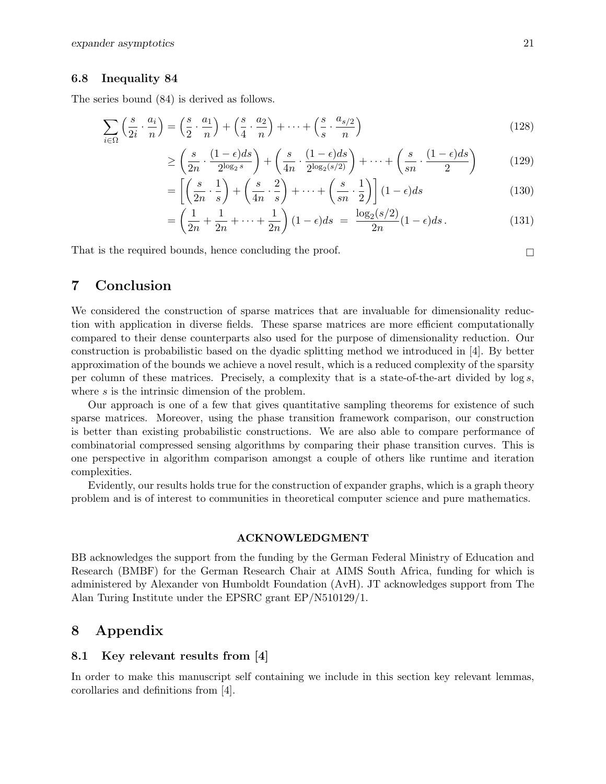#### 6.8 Inequality 84

The series bound (84) is derived as follows.

$$
\sum_{i \in \Omega} \left( \frac{s}{2i} \cdot \frac{a_i}{n} \right) = \left( \frac{s}{2} \cdot \frac{a_1}{n} \right) + \left( \frac{s}{4} \cdot \frac{a_2}{n} \right) + \dots + \left( \frac{s}{s} \cdot \frac{a_{s/2}}{n} \right)
$$
\n(128)

$$
\geq \left(\frac{s}{2n} \cdot \frac{(1-\epsilon)ds}{2^{\log_2 s}}\right) + \left(\frac{s}{4n} \cdot \frac{(1-\epsilon)ds}{2^{\log_2(s/2)}}\right) + \dots + \left(\frac{s}{sn} \cdot \frac{(1-\epsilon)ds}{2}\right) \tag{129}
$$

$$
= \left[ \left( \frac{s}{2n} \cdot \frac{1}{s} \right) + \left( \frac{s}{4n} \cdot \frac{2}{s} \right) + \dots + \left( \frac{s}{sn} \cdot \frac{1}{2} \right) \right] (1 - \epsilon) ds \tag{130}
$$

$$
= \left(\frac{1}{2n} + \frac{1}{2n} + \dots + \frac{1}{2n}\right)(1 - \epsilon)ds = \frac{\log_2(s/2)}{2n}(1 - \epsilon)ds.
$$
 (131)

That is the required bounds, hence concluding the proof.  $\Box$ 

# 7 Conclusion

We considered the construction of sparse matrices that are invaluable for dimensionality reduction with application in diverse fields. These sparse matrices are more efficient computationally compared to their dense counterparts also used for the purpose of dimensionality reduction. Our construction is probabilistic based on the dyadic splitting method we introduced in [4]. By better approximation of the bounds we achieve a novel result, which is a reduced complexity of the sparsity per column of these matrices. Precisely, a complexity that is a state-of-the-art divided by log s, where s is the intrinsic dimension of the problem.

Our approach is one of a few that gives quantitative sampling theorems for existence of such sparse matrices. Moreover, using the phase transition framework comparison, our construction is better than existing probabilistic constructions. We are also able to compare performance of combinatorial compressed sensing algorithms by comparing their phase transition curves. This is one perspective in algorithm comparison amongst a couple of others like runtime and iteration complexities.

Evidently, our results holds true for the construction of expander graphs, which is a graph theory problem and is of interest to communities in theoretical computer science and pure mathematics.

#### ACKNOWLEDGMENT

BB acknowledges the support from the funding by the German Federal Ministry of Education and Research (BMBF) for the German Research Chair at AIMS South Africa, funding for which is administered by Alexander von Humboldt Foundation (AvH). JT acknowledges support from The Alan Turing Institute under the EPSRC grant EP/N510129/1.

# 8 Appendix

## 8.1 Key relevant results from [4]

In order to make this manuscript self containing we include in this section key relevant lemmas, corollaries and definitions from [4].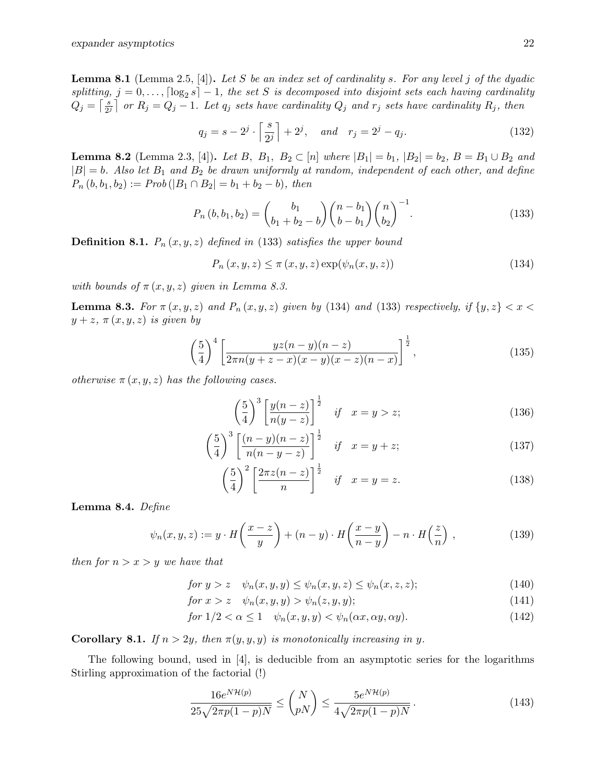**Lemma 8.1** (Lemma 2.5, [4]). Let S be an index set of cardinality s. For any level j of the dyadic splitting,  $j = 0, \ldots, \lceil \log_2 s \rceil - 1$ , the set S is decomposed into disjoint sets each having cardinality  $Q_j = \left[\frac{s}{2s}\right]$  $\frac{s}{2^j}$  or  $R_j = Q_j - 1$ . Let  $q_j$  sets have cardinality  $Q_j$  and  $r_j$  sets have cardinality  $R_j$ , then

$$
q_j = s - 2^j \cdot \left\lceil \frac{s}{2^j} \right\rceil + 2^j, \quad \text{and} \quad r_j = 2^j - q_j. \tag{132}
$$

**Lemma 8.2** (Lemma 2.3, [4]). Let B,  $B_1$ ,  $B_2 \subset [n]$  where  $|B_1| = b_1$ ,  $|B_2| = b_2$ ,  $B = B_1 \cup B_2$  and  $|B| = b$ . Also let  $B_1$  and  $B_2$  be drawn uniformly at random, independent of each other, and define  $P_n (b, b_1, b_2) := Prob(|B_1 \cap B_2| = b_1 + b_2 - b)$ , then

$$
P_n(b, b_1, b_2) = {b_1 \choose b_1 + b_2 - b} {n - b_1 \choose b - b_1} {n \choose b_2}^{-1}.
$$
 (133)

**Definition 8.1.**  $P_n(x, y, z)$  defined in (133) satisfies the upper bound

$$
P_n(x, y, z) \le \pi(x, y, z) \exp(\psi_n(x, y, z)) \tag{134}
$$

with bounds of  $\pi(x, y, z)$  given in Lemma 8.3.

**Lemma 8.3.** For  $\pi(x, y, z)$  and  $P_n(x, y, z)$  given by (134) and (133) respectively, if  $\{y, z\} < x <$  $y + z$ ,  $\pi(x, y, z)$  is given by

$$
\left(\frac{5}{4}\right)^4 \left[\frac{yz(n-y)(n-z)}{2\pi n(y+z-x)(x-y)(x-z)(n-x)}\right]^{\frac{1}{2}},\tag{135}
$$

otherwise  $\pi(x, y, z)$  has the following cases.

$$
\left(\frac{5}{4}\right)^3 \left[\frac{y(n-z)}{n(y-z)}\right]^{\frac{1}{2}} \quad \text{if} \quad x=y>z; \tag{136}
$$

$$
\left(\frac{5}{4}\right)^3 \left[\frac{(n-y)(n-z)}{n(n-y-z)}\right]^{\frac{1}{2}} \quad \text{if} \quad x=y+z; \tag{137}
$$

$$
\left(\frac{5}{4}\right)^2 \left[\frac{2\pi z(n-z)}{n}\right]^{\frac{1}{2}} \quad \text{if} \quad x=y=z. \tag{138}
$$

Lemma 8.4. Define

$$
\psi_n(x, y, z) := y \cdot H\left(\frac{x - z}{y}\right) + (n - y) \cdot H\left(\frac{x - y}{n - y}\right) - n \cdot H\left(\frac{z}{n}\right),\tag{139}
$$

then for  $n > x > y$  we have that

$$
for y > z \quad \psi_n(x, y, y) \le \psi_n(x, y, z) \le \psi_n(x, z, z); \tag{140}
$$

for  $x > z \quad \psi_n(x, y, y) > \psi_n(z, y, y);$  (141)

$$
for 1/2 < \alpha \le 1 \quad \psi_n(x, y, y) < \psi_n(\alpha x, \alpha y, \alpha y). \tag{142}
$$

**Corollary 8.1.** If  $n > 2y$ , then  $\pi(y, y, y)$  is monotonically increasing in y.

The following bound, used in  $[4]$ , is deducible from an asymptotic series for the logarithms Stirling approximation of the factorial (!)

$$
\frac{16e^{N\mathcal{H}(p)}}{25\sqrt{2\pi p(1-p)N}} \le \binom{N}{pN} \le \frac{5e^{N\mathcal{H}(p)}}{4\sqrt{2\pi p(1-p)N}}.
$$
\n(143)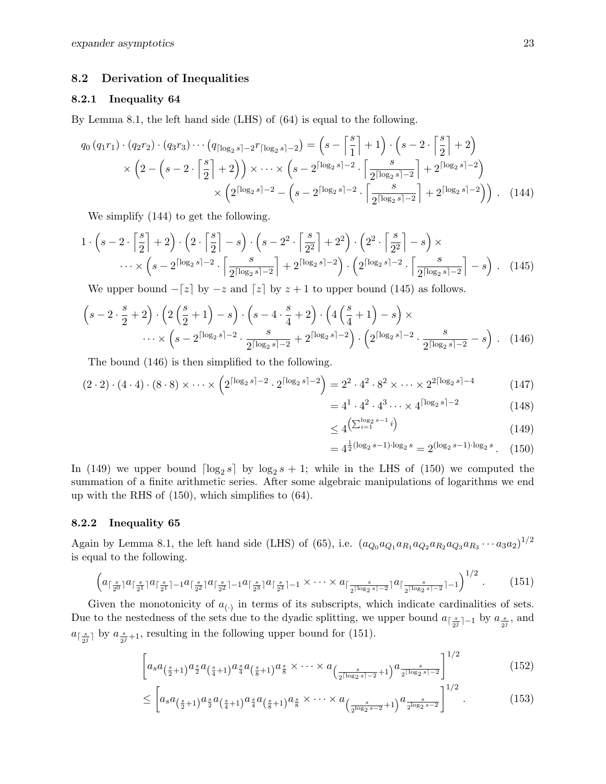## 8.2 Derivation of Inequalities

#### 8.2.1 Inequality 64

By Lemma 8.1, the left hand side (LHS) of (64) is equal to the following.

$$
q_0 (q_1 r_1) \cdot (q_2 r_2) \cdot (q_3 r_3) \cdots (q_{\lceil \log_2 s \rceil - 2} r_{\lceil \log_2 s \rceil - 2}) = \left(s - \left\lceil \frac{s}{1} \right\rceil + 1\right) \cdot \left(s - 2 \cdot \left\lceil \frac{s}{2} \right\rceil + 2\right)
$$

$$
\times \left(2 - \left(s - 2 \cdot \left\lceil \frac{s}{2} \right\rceil + 2\right)\right) \times \cdots \times \left(s - 2^{\lceil \log_2 s \rceil - 2} \cdot \left\lceil \frac{s}{2^{\lceil \log_2 s \rceil - 2}} \right\rceil + 2^{\lceil \log_2 s \rceil - 2}\right)
$$

$$
\times \left(2^{\lceil \log_2 s \rceil - 2} - \left(s - 2^{\lceil \log_2 s \rceil - 2} \cdot \left\lceil \frac{s}{2^{\lceil \log_2 s \rceil - 2}} \right\rceil + 2^{\lceil \log_2 s \rceil - 2}\right)\right). \tag{144}
$$

We simplify (144) to get the following.

$$
1 \cdot \left(s-2\cdot \left\lceil \frac{s}{2} \right\rceil + 2\right) \cdot \left(2\cdot \left\lceil \frac{s}{2} \right\rceil - s\right) \cdot \left(s-2^2\cdot \left\lceil \frac{s}{2^2} \right\rceil + 2^2\right) \cdot \left(2^2\cdot \left\lceil \frac{s}{2^2} \right\rceil - s\right) \times \cdots \times \left(s-2^{\lceil \log_2 s \rceil - 2} \cdot \left\lceil \frac{s}{2^{\lceil \log_2 s \rceil - 2}} \right\rceil + 2^{\lceil \log_2 s \rceil - 2}\right) \cdot \left(2^{\lceil \log_2 s \rceil - 2} \cdot \left\lceil \frac{s}{2^{\lceil \log_2 s \rceil - 2}} \right\rceil - s\right) \,. \tag{145}
$$

We upper bound  $-[z]$  by  $-z$  and  $[z]$  by  $z + 1$  to upper bound (145) as follows.

$$
\left(s-2\cdot\frac{s}{2}+2\right)\cdot\left(2\left(\frac{s}{2}+1\right)-s\right)\cdot\left(s-4\cdot\frac{s}{4}+2\right)\cdot\left(4\left(\frac{s}{4}+1\right)-s\right)\times
$$

$$
\cdots\times\left(s-2^{\lceil\log_2 s\rceil-2}\cdot\frac{s}{2^{\lceil\log_2 s\rceil-2}}+2^{\lceil\log_2 s\rceil-2}\right)\cdot\left(2^{\lceil\log_2 s\rceil-2}\cdot\frac{s}{2^{\lceil\log_2 s\rceil-2}}-s\right). (146)
$$

The bound (146) is then simplified to the following.

$$
(2 \cdot 2) \cdot (4 \cdot 4) \cdot (8 \cdot 8) \times \dots \times \left(2^{\lceil \log_2 s \rceil - 2} \cdot 2^{\lceil \log_2 s \rceil - 2}\right) = 2^2 \cdot 4^2 \cdot 8^2 \times \dots \times 2^{2\lceil \log_2 s \rceil - 4} \tag{147}
$$

$$
=41 \cdot 42 \cdot 43 \cdots \times 4^{\lceil \log_2 s \rceil -2}
$$
 (148)

$$
\leq 4^{\left(\sum_{i=1}^{\log_2 s - 1} i\right)}\tag{149}
$$

$$
=4^{\frac{1}{2}(\log_2 s - 1)\cdot \log_2 s} = 2^{(\log_2 s - 1)\cdot \log_2 s}.
$$
 (150)

In (149) we upper bound  $\lceil \log_2 s \rceil$  by  $\log_2 s + 1$ ; while in the LHS of (150) we computed the summation of a finite arithmetic series. After some algebraic manipulations of logarithms we end up with the RHS of (150), which simplifies to (64).

#### 8.2.2 Inequality 65

Again by Lemma 8.1, the left hand side (LHS) of (65), i.e.  $(a_{Q_0}a_{Q_1}a_{R_1}a_{Q_2}a_{R_2}a_{Q_3}a_{R_3}\cdots a_3a_2)^{1/2}$ is equal to the following.

$$
\left(a_{\lceil \frac{s}{2^0} \rceil} a_{\lceil \frac{s}{2^1} \rceil} a_{\lceil \frac{s}{2^1} \rceil - 1} a_{\lceil \frac{s}{2^2} \rceil} a_{\lceil \frac{s}{2^2} \rceil - 1} a_{\lceil \frac{s}{2^3} \rceil} a_{\lceil \frac{s}{2^3} \rceil - 1} \times \cdots \times a_{\lceil \frac{s}{2^{\lceil \log_2 s \rceil - 2}} \rceil} a_{\lceil \frac{s}{2^{\lceil \log_2 s \rceil - 2}} \rceil - 1} \right)^{1/2}.
$$
 (151)

Given the monotonicity of  $a_{(.)}$  in terms of its subscripts, which indicate cardinalities of sets. Due to the nestedness of the sets due to the dyadic splitting, we upper bound  $a_{\lceil \frac{s}{2^j}\rceil-1}$  by  $a_{\frac{s}{2^j}}$ , and  $a_{\lceil \frac{s}{2^j} \rceil}$  by  $a_{\frac{s}{2^j}+1}$ , resulting in the following upper bound for (151).

$$
\left[a_s a_{\left(\frac{s}{2}+1\right)} a_{\frac{s}{2}} a_{\left(\frac{s}{4}+1\right)} a_{\frac{s}{4}} a_{\left(\frac{s}{8}+1\right)} a_{\frac{s}{8}} \times \cdots \times a_{\left(\frac{s}{2^{\lceil \log_2 s \rceil - 2}} + 1\right)} a_{\frac{s}{2^{\lceil \log_2 s \rceil - 2}}}\right]^{1/2} \tag{152}
$$

$$
\leq \left[ a_s a_{\left(\frac{s}{2}+1\right)} a_{\frac{s}{2}} a_{\left(\frac{s}{4}+1\right)} a_{\frac{s}{4}} a_{\left(\frac{s}{8}+1\right)} a_{\frac{s}{8}} \times \cdots \times a_{\left(\frac{s}{2^{\log_2 s - 2}}+1\right)} a_{\frac{s}{2^{\log_2 s - 2}}}\right]^{1/2} . \tag{153}
$$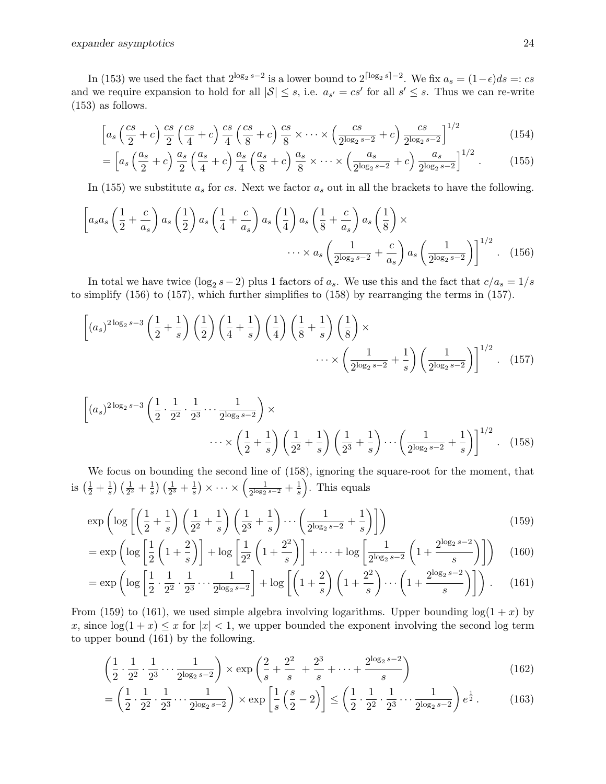In (153) we used the fact that  $2^{\log_2 s - 2}$  is a lower bound to  $2^{\lceil \log_2 s \rceil - 2}$ . We fix  $a_s = (1 - \epsilon)ds =: cs$ and we require expansion to hold for all  $|S| \leq s$ , i.e.  $a_{s'} = cs'$  for all  $s' \leq s$ . Thus we can re-write (153) as follows.

$$
\left[a_s\left(\frac{cs}{2}+c\right)\frac{cs}{2}\left(\frac{cs}{4}+c\right)\frac{cs}{4}\left(\frac{cs}{8}+c\right)\frac{cs}{8}\right] \times \cdots \times \left(\frac{cs}{2^{\log_2 s-2}}+c\right)\frac{cs}{2^{\log_2 s-2}}\right]^{1/2} \tag{154}
$$

$$
= \left[ a_s \left( \frac{a_s}{2} + c \right) \frac{a_s}{2} \left( \frac{a_s}{4} + c \right) \frac{a_s}{4} \left( \frac{a_s}{8} + c \right) \frac{a_s}{8} \times \dots \times \left( \frac{a_s}{2^{\log_2 s - 2}} + c \right) \frac{a_s}{2^{\log_2 s - 2}} \right]^{1/2} . \tag{155}
$$

In (155) we substitute  $a_s$  for cs. Next we factor  $a_s$  out in all the brackets to have the following.

$$
\left[a_s a_s \left(\frac{1}{2} + \frac{c}{a_s}\right) a_s \left(\frac{1}{2}\right) a_s \left(\frac{1}{4} + \frac{c}{a_s}\right) a_s \left(\frac{1}{4}\right) a_s \left(\frac{1}{8} + \frac{c}{a_s}\right) a_s \left(\frac{1}{8}\right) \times \cdots \times a_s \left(\frac{1}{2^{\log_2 s - 2}} + \frac{c}{a_s}\right) a_s \left(\frac{1}{2^{\log_2 s - 2}}\right)\right]^{1/2} . \quad (156)
$$

In total we have twice  $(\log_2 s - 2)$  plus 1 factors of  $a_s$ . We use this and the fact that  $c/a_s = 1/s$ to simplify (156) to (157), which further simplifies to (158) by rearranging the terms in (157).

$$
\left[ (a_s)^{2\log_2 s - 3} \left( \frac{1}{2} + \frac{1}{s} \right) \left( \frac{1}{2} \right) \left( \frac{1}{4} + \frac{1}{s} \right) \left( \frac{1}{4} \right) \left( \frac{1}{8} + \frac{1}{s} \right) \left( \frac{1}{8} \right) \times \cdots \times \left( \frac{1}{2^{\log_2 s - 2}} + \frac{1}{s} \right) \left( \frac{1}{2^{\log_2 s - 2}} \right) \right]^{1/2} . \tag{157}
$$

$$
\left[ (a_s)^{2\log_2 s - 3} \left( \frac{1}{2} \cdot \frac{1}{2^2} \cdot \frac{1}{2^3} \cdots \frac{1}{2^{\log_2 s - 2}} \right) \times \cdots \times \left( \frac{1}{2} + \frac{1}{s} \right) \left( \frac{1}{2^2} + \frac{1}{s} \right) \left( \frac{1}{2^3} + \frac{1}{s} \right) \cdots \left( \frac{1}{2^{\log_2 s - 2}} + \frac{1}{s} \right) \right]^{1/2} . \tag{158}
$$

We focus on bounding the second line of (158), ignoring the square-root for the moment, that is  $\left(\frac{1}{2} + \frac{1}{s}\right)$  $\frac{1}{s}$ )  $\left(\frac{1}{2^2} + \frac{1}{s}\right)$  $\frac{1}{s}$ )  $\left(\frac{1}{2^3} + \frac{1}{s}\right)$  $\frac{1}{s})\times\dots\times\left(\frac{1}{2^{\log_2 2}}\right)$  $\frac{1}{2^{\log_2 s - 2}} + \frac{1}{s}$  $\frac{1}{s}$ . This equals

$$
\exp\left(\log\left[\left(\frac{1}{2}+\frac{1}{s}\right)\left(\frac{1}{2^2}+\frac{1}{s}\right)\left(\frac{1}{2^3}+\frac{1}{s}\right)\cdots\left(\frac{1}{2^{\log_2 s-2}}+\frac{1}{s}\right)\right]\right) \tag{159}
$$

$$
= \exp\left(\log\left[\frac{1}{2}\left(1+\frac{2}{s}\right)\right] + \log\left[\frac{1}{2^2}\left(1+\frac{2^2}{s}\right)\right] + \dots + \log\left[\frac{1}{2^{\log_2 s - 2}}\left(1+\frac{2^{\log_2 s - 2}}{s}\right)\right]\right) \tag{160}
$$

$$
= \exp\left(\log\left[\frac{1}{2}\cdot\frac{1}{2^2}\cdot\frac{1}{2^3}\cdots\frac{1}{2^{\log_2 s - 2}}\right] + \log\left[\left(1 + \frac{2}{s}\right)\left(1 + \frac{2^2}{s}\right)\cdots\left(1 + \frac{2^{\log_2 s - 2}}{s}\right)\right]\right). \tag{161}
$$

From (159) to (161), we used simple algebra involving logarithms. Upper bounding  $log(1 + x)$  by x, since  $\log(1+x) \leq x$  for  $|x| < 1$ , we upper bounded the exponent involving the second log term to upper bound (161) by the following.

$$
\left(\frac{1}{2}\cdot\frac{1}{2^2}\cdot\frac{1}{2^3}\cdots\frac{1}{2^{\log_2 s - 2}}\right) \times \exp\left(\frac{2}{s} + \frac{2^2}{s} + \frac{2^3}{s} + \cdots + \frac{2^{\log_2 s - 2}}{s}\right) \tag{162}
$$

$$
= \left(\frac{1}{2} \cdot \frac{1}{2^2} \cdot \frac{1}{2^3} \cdots \frac{1}{2^{\log_2 s - 2}}\right) \times \exp\left[\frac{1}{s} \left(\frac{s}{2} - 2\right)\right] \le \left(\frac{1}{2} \cdot \frac{1}{2^2} \cdot \frac{1}{2^3} \cdots \frac{1}{2^{\log_2 s - 2}}\right) e^{\frac{1}{2}}.
$$
 (163)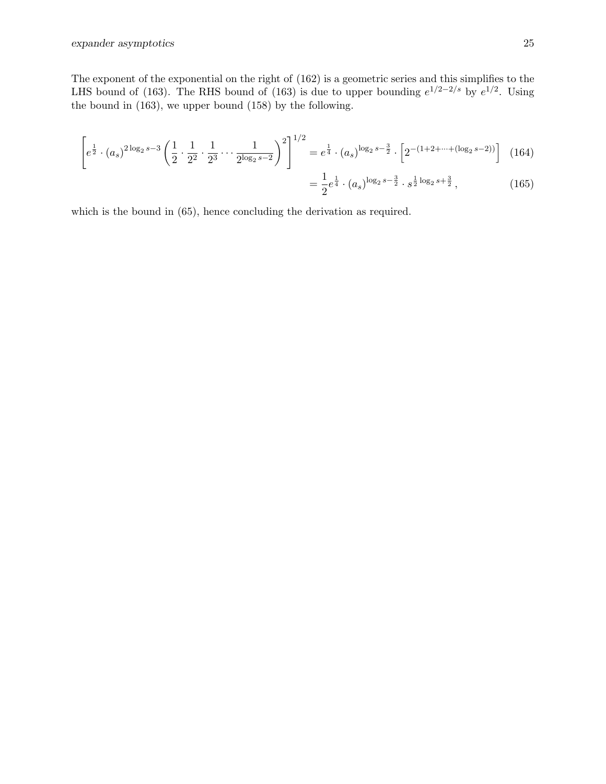The exponent of the exponential on the right of (162) is a geometric series and this simplifies to the LHS bound of (163). The RHS bound of (163) is due to upper bounding  $e^{1/2-2/s}$  by  $e^{1/2}$ . Using the bound in (163), we upper bound (158) by the following.

$$
\left[e^{\frac{1}{2}} \cdot (a_s)^{2\log_2 s - 3} \left(\frac{1}{2} \cdot \frac{1}{2^2} \cdot \frac{1}{2^3} \cdots \frac{1}{2^{\log_2 s - 2}}\right)^2\right]^{1/2} = e^{\frac{1}{4}} \cdot (a_s)^{\log_2 s - \frac{3}{2}} \cdot \left[2^{-(1+2+\cdots+(\log_2 s - 2))}\right] \tag{164}
$$

$$
= \frac{1}{2}e^{\frac{1}{4}} \cdot (a_s)^{\log_2 s - \frac{3}{2}} \cdot s^{\frac{1}{2}\log_2 s + \frac{3}{2}}, \qquad (165)
$$

which is the bound in (65), hence concluding the derivation as required.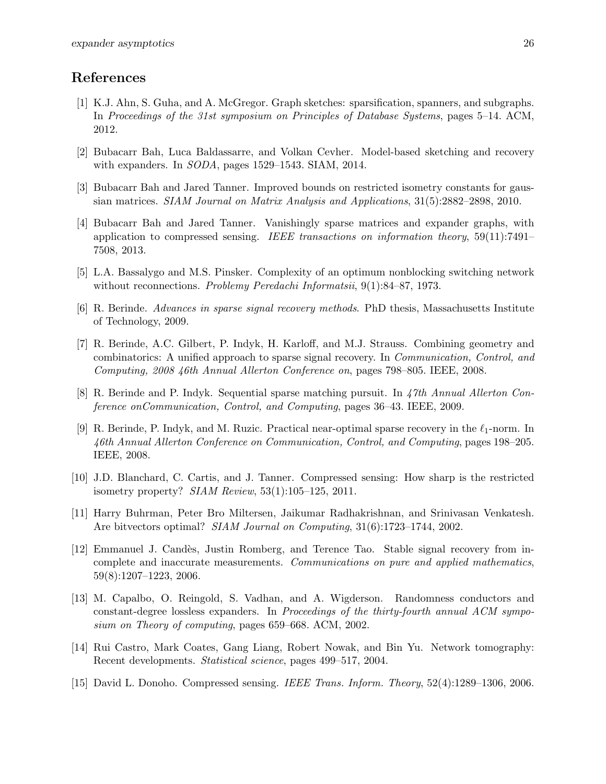# References

- [1] K.J. Ahn, S. Guha, and A. McGregor. Graph sketches: sparsification, spanners, and subgraphs. In Proceedings of the 31st symposium on Principles of Database Systems, pages 5–14. ACM, 2012.
- [2] Bubacarr Bah, Luca Baldassarre, and Volkan Cevher. Model-based sketching and recovery with expanders. In SODA, pages 1529–1543. SIAM, 2014.
- [3] Bubacarr Bah and Jared Tanner. Improved bounds on restricted isometry constants for gaussian matrices. SIAM Journal on Matrix Analysis and Applications, 31(5):2882–2898, 2010.
- [4] Bubacarr Bah and Jared Tanner. Vanishingly sparse matrices and expander graphs, with application to compressed sensing. IEEE transactions on information theory,  $59(11):7491-$ 7508, 2013.
- [5] L.A. Bassalygo and M.S. Pinsker. Complexity of an optimum nonblocking switching network without reconnections. Problemy Peredachi Informatsii, 9(1):84–87, 1973.
- [6] R. Berinde. Advances in sparse signal recovery methods. PhD thesis, Massachusetts Institute of Technology, 2009.
- [7] R. Berinde, A.C. Gilbert, P. Indyk, H. Karloff, and M.J. Strauss. Combining geometry and combinatorics: A unified approach to sparse signal recovery. In Communication, Control, and Computing, 2008 46th Annual Allerton Conference on, pages 798–805. IEEE, 2008.
- [8] R. Berinde and P. Indyk. Sequential sparse matching pursuit. In 47th Annual Allerton Conference onCommunication, Control, and Computing, pages 36–43. IEEE, 2009.
- [9] R. Berinde, P. Indyk, and M. Ruzic. Practical near-optimal sparse recovery in the  $\ell_1$ -norm. In 46th Annual Allerton Conference on Communication, Control, and Computing, pages 198–205. IEEE, 2008.
- [10] J.D. Blanchard, C. Cartis, and J. Tanner. Compressed sensing: How sharp is the restricted isometry property? SIAM Review, 53(1):105–125, 2011.
- [11] Harry Buhrman, Peter Bro Miltersen, Jaikumar Radhakrishnan, and Srinivasan Venkatesh. Are bitvectors optimal? SIAM Journal on Computing, 31(6):1723–1744, 2002.
- [12] Emmanuel J. Candès, Justin Romberg, and Terence Tao. Stable signal recovery from incomplete and inaccurate measurements. Communications on pure and applied mathematics, 59(8):1207–1223, 2006.
- [13] M. Capalbo, O. Reingold, S. Vadhan, and A. Wigderson. Randomness conductors and constant-degree lossless expanders. In Proceedings of the thirty-fourth annual ACM symposium on Theory of computing, pages 659–668. ACM, 2002.
- [14] Rui Castro, Mark Coates, Gang Liang, Robert Nowak, and Bin Yu. Network tomography: Recent developments. Statistical science, pages 499–517, 2004.
- [15] David L. Donoho. Compressed sensing. IEEE Trans. Inform. Theory, 52(4):1289–1306, 2006.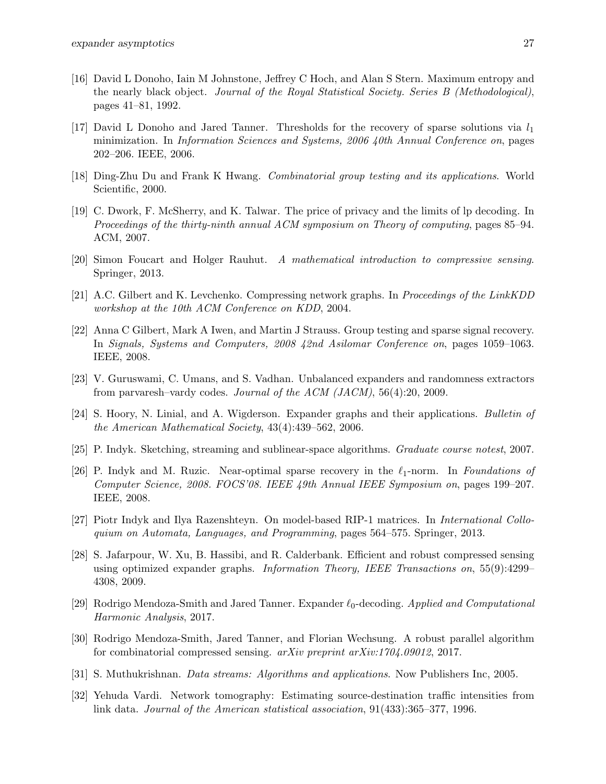- [16] David L Donoho, Iain M Johnstone, Jeffrey C Hoch, and Alan S Stern. Maximum entropy and the nearly black object. Journal of the Royal Statistical Society. Series B (Methodological), pages 41–81, 1992.
- [17] David L Donoho and Jared Tanner. Thresholds for the recovery of sparse solutions via  $l_1$ minimization. In Information Sciences and Systems, 2006 40th Annual Conference on, pages 202–206. IEEE, 2006.
- [18] Ding-Zhu Du and Frank K Hwang. Combinatorial group testing and its applications. World Scientific, 2000.
- [19] C. Dwork, F. McSherry, and K. Talwar. The price of privacy and the limits of lp decoding. In Proceedings of the thirty-ninth annual ACM symposium on Theory of computing, pages 85–94. ACM, 2007.
- [20] Simon Foucart and Holger Rauhut. A mathematical introduction to compressive sensing. Springer, 2013.
- [21] A.C. Gilbert and K. Levchenko. Compressing network graphs. In Proceedings of the LinkKDD workshop at the 10th ACM Conference on KDD, 2004.
- [22] Anna C Gilbert, Mark A Iwen, and Martin J Strauss. Group testing and sparse signal recovery. In Signals, Systems and Computers, 2008 42nd Asilomar Conference on, pages 1059–1063. IEEE, 2008.
- [23] V. Guruswami, C. Umans, and S. Vadhan. Unbalanced expanders and randomness extractors from parvaresh–vardy codes. Journal of the ACM (JACM), 56(4):20, 2009.
- [24] S. Hoory, N. Linial, and A. Wigderson. Expander graphs and their applications. Bulletin of the American Mathematical Society, 43(4):439–562, 2006.
- [25] P. Indyk. Sketching, streaming and sublinear-space algorithms. Graduate course notest, 2007.
- [26] P. Indyk and M. Ruzic. Near-optimal sparse recovery in the  $\ell_1$ -norm. In Foundations of Computer Science, 2008. FOCS'08. IEEE 49th Annual IEEE Symposium on, pages 199–207. IEEE, 2008.
- [27] Piotr Indyk and Ilya Razenshteyn. On model-based RIP-1 matrices. In International Colloquium on Automata, Languages, and Programming, pages 564–575. Springer, 2013.
- [28] S. Jafarpour, W. Xu, B. Hassibi, and R. Calderbank. Efficient and robust compressed sensing using optimized expander graphs. Information Theory, IEEE Transactions on, 55(9):4299– 4308, 2009.
- [29] Rodrigo Mendoza-Smith and Jared Tanner. Expander  $\ell_0$ -decoding. Applied and Computational Harmonic Analysis, 2017.
- [30] Rodrigo Mendoza-Smith, Jared Tanner, and Florian Wechsung. A robust parallel algorithm for combinatorial compressed sensing. arXiv preprint arXiv:1704.09012, 2017.
- [31] S. Muthukrishnan. Data streams: Algorithms and applications. Now Publishers Inc, 2005.
- [32] Yehuda Vardi. Network tomography: Estimating source-destination traffic intensities from link data. Journal of the American statistical association, 91(433):365–377, 1996.